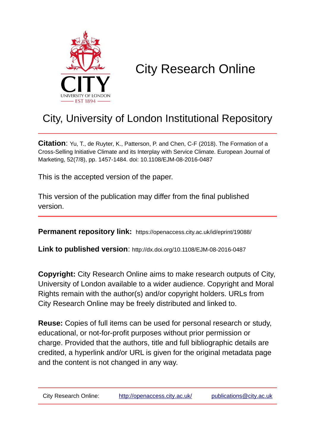

# City Research Online

## City, University of London Institutional Repository

**Citation**: Yu, T., de Ruyter, K., Patterson, P. and Chen, C-F (2018). The Formation of a Cross-Selling Initiative Climate and its Interplay with Service Climate. European Journal of Marketing, 52(7/8), pp. 1457-1484. doi: 10.1108/EJM-08-2016-0487

This is the accepted version of the paper.

This version of the publication may differ from the final published version.

**Permanent repository link:** https://openaccess.city.ac.uk/id/eprint/19088/

**Link to published version**: http://dx.doi.org/10.1108/EJM-08-2016-0487

**Copyright:** City Research Online aims to make research outputs of City, University of London available to a wider audience. Copyright and Moral Rights remain with the author(s) and/or copyright holders. URLs from City Research Online may be freely distributed and linked to.

**Reuse:** Copies of full items can be used for personal research or study, educational, or not-for-profit purposes without prior permission or charge. Provided that the authors, title and full bibliographic details are credited, a hyperlink and/or URL is given for the original metadata page and the content is not changed in any way.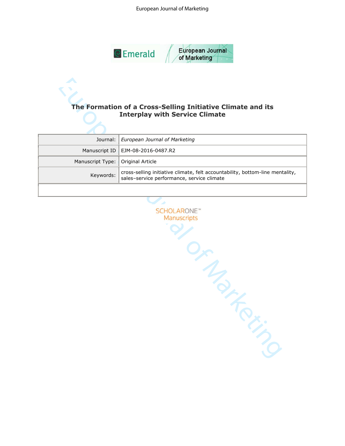#### European Journal of Marketing



## **Interplay with Service Climate**

|                                     | Journal: European Journal of Marketing                                                                                   |
|-------------------------------------|--------------------------------------------------------------------------------------------------------------------------|
|                                     | Manuscript ID   EJM-08-2016-0487.R2                                                                                      |
| Manuscript Type:   Original Article |                                                                                                                          |
| Keywords:                           | cross-selling initiative climate, felt accountability, bottom-line mentality, sales-service performance, service climate |
|                                     |                                                                                                                          |

The Formation of a Cross-Selling Initiative Climate<br>
Journal: European Journal of Marketing<br>
Manuscript Type: Original Article<br>
Manuscript Type: Original Article<br>
Keywords: cross-selling initiative climate, fel accountabil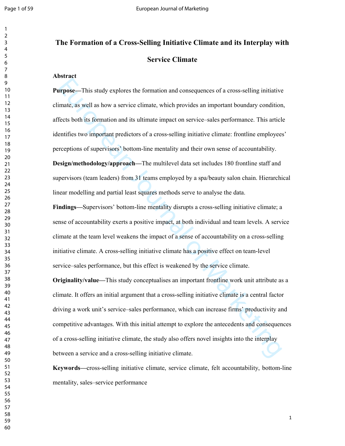### **The Formation of a Cross-Selling Initiative Climate and its Interplay with Service Climate**

#### **Abstract**

**Europe**<br> **Europe**<br> **Europe Complete Standy explores the formation and consequences of a cross-selling initiative<br>
imate, as well as how a service climate, which provides an important boundary condition<br>
ficets both its fo Purpose—**This study explores the formation and consequences of a cross-selling initiative climate, as well as how a service climate, which provides an important boundary condition, affects both its formation and its ultimate impact on service–sales performance. This article identifies two important predictors of a cross-selling initiative climate: frontline employees' perceptions of supervisors' bottom-line mentality and their own sense of accountability. **Design/methodology/approach—**The multilevel data set includes 180 frontline staff and supervisors (team leaders) from 31 teams employed by a spa/beauty salon chain. Hierarchical linear modelling and partial least squares methods serve to analyse the data.

**Findings—**Supervisors' bottom-line mentality disrupts a cross-selling initiative climate; a sense of accountability exerts a positive impact, at both individual and team levels. A service climate at the team level weakens the impact of a sense of accountability on a cross-selling initiative climate. A cross-selling initiative climate has a positive effect on team-level service–sales performance, but this effect is weakened by the service climate.

**Originality/value—**This study conceptualises an important frontline work unit attribute as a climate. It offers an initial argument that a cross-selling initiative climate is a central factor driving a work unit's service–sales performance, which can increase firms' productivity and competitive advantages. With this initial attempt to explore the antecedents and consequences of a cross-selling initiative climate, the study also offers novel insights into the interplay between a service and a cross-selling initiative climate.

**Keywords—**cross-selling initiative climate, service climate, felt accountability, bottom-line mentality, sales–service performance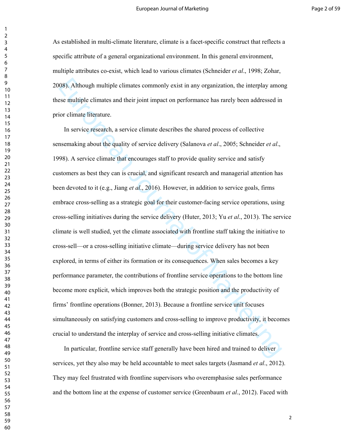As established in multi-climate literature, climate is a facet-specific construct that reflects a specific attribute of a general organizational environment. In this general environment, multiple attributes co-exist, which lead to various climates (Schneider *et al*., 1998; Zohar, 2008). Although multiple climates commonly exist in any organization, the interplay among these multiple climates and their joint impact on performance has rarely been addressed in prior climate literature.

08). Although multiple elimates commonly exist in any organization, the interplay amonse multiple elimates and their joint impact on performance has rarely been addressed in ior elimate liferature.<br>
In service research, a In service research, a service climate describes the shared process of collective sensemaking about the quality of service delivery (Salanova *et al*., 2005; Schneider *et al*., 1998). A service climate that encourages staff to provide quality service and satisfy customers as best they can is crucial, and significant research and managerial attention has been devoted to it (e.g., Jiang *et al*., 2016). However, in addition to service goals, firms embrace cross-selling as a strategic goal for their customer-facing service operations, using cross-selling initiatives during the service delivery (Huter, 2013; Yu *et al*., 2013). The service climate is well studied, yet the climate associated with frontline staff taking the initiative to cross-sell—or a cross-selling initiative climate—during service delivery has not been explored, in terms of either its formation or its consequences. When sales becomes a key performance parameter, the contributions of frontline service operations to the bottom line become more explicit, which improves both the strategic position and the productivity of firms' frontline operations (Bonner, 2013). Because a frontline service unit focuses simultaneously on satisfying customers and cross-selling to improve productivity, it becomes crucial to understand the interplay of service and cross-selling initiative climates.

In particular, frontline service staff generally have been hired and trained to deliver services, yet they also may be held accountable to meet sales targets (Jasmand *et al*., 2012). They may feel frustrated with frontline supervisors who overemphasise sales performance and the bottom line at the expense of customer service (Greenbaum *et al*., 2012). Faced with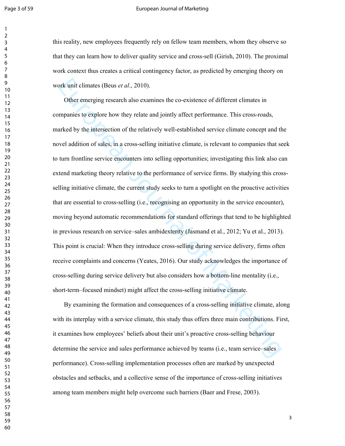#### Page 3 of 59 **Page 3** of 59 **European Journal of Marketing**

this reality, new employees frequently rely on fellow team members, whom they observe so that they can learn how to deliver quality service and cross-sell (Girish, 2010). The proximal work context thus creates a critical contingency factor, as predicted by emerging theory on work unit climates (Beus *et al*., 2010).

ork unit climates (Beus *et al.*, 2010).<br>
Other emerging research also examines the co-existence of different climates in<br>
mpainics to explore how they relate and jointly affect performance. This cross-roads,<br>
anked by th Other emerging research also examines the co-existence of different climates in companies to explore how they relate and jointly affect performance. This cross-roads, marked by the intersection of the relatively well-established service climate concept and the novel addition of sales, in a cross-selling initiative climate, is relevant to companies that seek to turn frontline service encounters into selling opportunities; investigating this link also can extend marketing theory relative to the performance of service firms. By studying this crossselling initiative climate, the current study seeks to turn a spotlight on the proactive activities that are essential to cross-selling (i.e., recognising an opportunity in the service encounter), moving beyond automatic recommendations for standard offerings that tend to be highlighted in previous research on service–sales ambidexterity (Jasmand et al., 2012; Yu et al., 2013). This point is crucial: When they introduce cross-selling during service delivery, firms often receive complaints and concerns (Yeates, 2016). Our study acknowledges the importance of cross-selling during service delivery but also considers how a bottom-line mentality (i.e., short-term–focused mindset) might affect the cross-selling initiative climate.

By examining the formation and consequences of a cross-selling initiative climate, along with its interplay with a service climate, this study thus offers three main contributions. First, it examines how employees' beliefs about their unit's proactive cross-selling behaviour determine the service and sales performance achieved by teams (i.e., team service–sales performance). Cross-selling implementation processes often are marked by unexpected obstacles and setbacks, and a collective sense of the importance of cross-selling initiatives among team members might help overcome such barriers (Baer and Frese, 2003).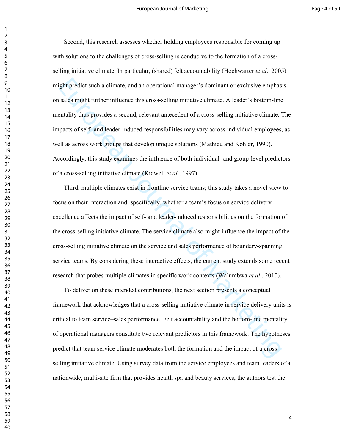ight predict such a climate, and an operational manager's dominant or exclusive emphass<br>sales might further influence this cross-selling initiative climate. A leader's bottom-line<br>entility thus provides a second, relevant Second, this research assesses whether holding employees responsible for coming up with solutions to the challenges of cross-selling is conducive to the formation of a crossselling initiative climate. In particular, (shared) felt accountability (Hochwarter *et al*., 2005) might predict such a climate, and an operational manager's dominant or exclusive emphasis on sales might further influence this cross-selling initiative climate. A leader's bottom-line mentality thus provides a second, relevant antecedent of a cross-selling initiative climate. The impacts of self- and leader-induced responsibilities may vary across individual employees, as well as across work groups that develop unique solutions (Mathieu and Kohler, 1990). Accordingly, this study examines the influence of both individual- and group-level predictors of a cross-selling initiative climate (Kidwell *et al*., 1997).

Third, multiple climates exist in frontline service teams; this study takes a novel view to focus on their interaction and, specifically, whether a team's focus on service delivery excellence affects the impact of self- and leader-induced responsibilities on the formation of the cross-selling initiative climate. The service climate also might influence the impact of the cross-selling initiative climate on the service and sales performance of boundary-spanning service teams. By considering these interactive effects, the current study extends some recent research that probes multiple climates in specific work contexts (Walumbwa *et al*., 2010).

To deliver on these intended contributions, the next section presents a conceptual framework that acknowledges that a cross-selling initiative climate in service delivery units is critical to team service–sales performance. Felt accountability and the bottom-line mentality of operational managers constitute two relevant predictors in this framework. The hypotheses predict that team service climate moderates both the formation and the impact of a crossselling initiative climate. Using survey data from the service employees and team leaders of a nationwide, multi-site firm that provides health spa and beauty services, the authors test the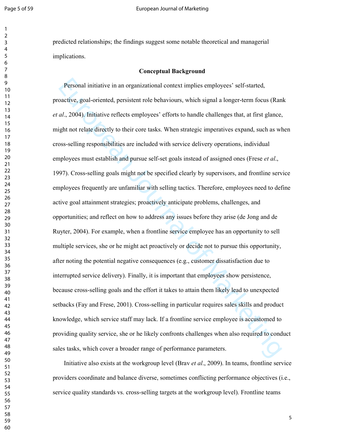#### Page 5 of 59 **Page 5** of 59 **Page 5** of 59 **European Journal of Marketing**

predicted relationships; the findings suggest some notable theoretical and managerial implications.

#### **Conceptual Background**

Personal initiative in an organizational context implies employees' self-started,<br>oactive, goal-oriented, persistent role behaviours, which signal a longer-term focus (Ran<br>
al., 2004). Initiative relleets employees' effort Personal initiative in an organizational context implies employees' self-started, proactive, goal-oriented, persistent role behaviours, which signal a longer-term focus (Rank *et al*., 2004). Initiative reflects employees' efforts to handle challenges that, at first glance, might not relate directly to their core tasks. When strategic imperatives expand, such as when cross-selling responsibilities are included with service delivery operations, individual employees must establish and pursue self-set goals instead of assigned ones (Frese *et al*., 1997). Cross-selling goals might not be specified clearly by supervisors, and frontline service employees frequently are unfamiliar with selling tactics. Therefore, employees need to define active goal attainment strategies; proactively anticipate problems, challenges, and opportunities; and reflect on how to address any issues before they arise (de Jong and de Ruyter, 2004). For example, when a frontline service employee has an opportunity to sell multiple services, she or he might act proactively or decide not to pursue this opportunity, after noting the potential negative consequences (e.g., customer dissatisfaction due to interrupted service delivery). Finally, it is important that employees show persistence, because cross-selling goals and the effort it takes to attain them likely lead to unexpected setbacks (Fay and Frese, 2001). Cross-selling in particular requires sales skills and product knowledge, which service staff may lack. If a frontline service employee is accustomed to providing quality service, she or he likely confronts challenges when also required to conduct sales tasks, which cover a broader range of performance parameters.

Initiative also exists at the workgroup level (Brav *et al*., 2009). In teams, frontline service providers coordinate and balance diverse, sometimes conflicting performance objectives (i.e., service quality standards vs. cross-selling targets at the workgroup level). Frontline teams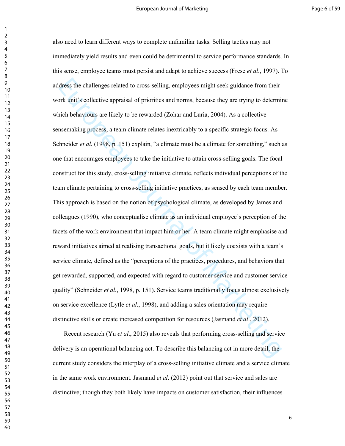dress the challenges related to cross-selling, employees might seck guidance from their<br>ork unit's collective appraisal of priorities and norms, because they are trying to determinich behaviours are likely to be rewarded also need to learn different ways to complete unfamiliar tasks. Selling tactics may not immediately yield results and even could be detrimental to service performance standards. In this sense, employee teams must persist and adapt to achieve success (Frese *et al*., 1997). To address the challenges related to cross-selling, employees might seek guidance from their work unit's collective appraisal of priorities and norms, because they are trying to determine which behaviours are likely to be rewarded (Zohar and Luria, 2004). As a collective sensemaking process, a team climate relates inextricably to a specific strategic focus. As Schneider *et al*. (1998, p. 151) explain, "a climate must be a climate for something," such as one that encourages employees to take the initiative to attain cross-selling goals. The focal construct for this study, cross-selling initiative climate, reflects individual perceptions of the team climate pertaining to cross-selling initiative practices, as sensed by each team member. This approach is based on the notion of psychological climate, as developed by James and colleagues (1990), who conceptualise climate as an individual employee's perception of the facets of the work environment that impact him or her. A team climate might emphasise and reward initiatives aimed at realising transactional goals, but it likely coexists with a team's service climate, defined as the "perceptions of the practices, procedures, and behaviors that get rewarded, supported, and expected with regard to customer service and customer service quality" (Schneider *et al*., 1998, p. 151). Service teams traditionally focus almost exclusively on service excellence (Lytle *et al*., 1998), and adding a sales orientation may require distinctive skills or create increased competition for resources (Jasmand *et al*., 2012).

Recent research (Yu *et al*., 2015) also reveals that performing cross-selling and service delivery is an operational balancing act. To describe this balancing act in more detail, the current study considers the interplay of a cross-selling initiative climate and a service climate in the same work environment. Jasmand *et al*. (2012) point out that service and sales are distinctive; though they both likely have impacts on customer satisfaction, their influences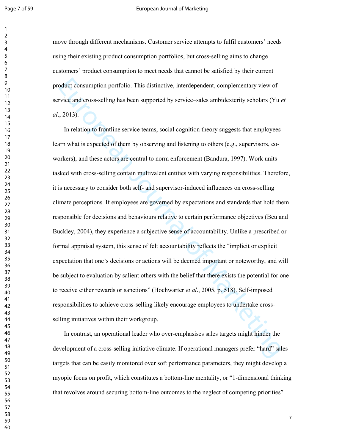#### Page 7 of 59 **Page 7** of 59 **European Journal of Marketing**

move through different mechanisms. Customer service attempts to fulfil customers' needs using their existing product consumption portfolios, but cross-selling aims to change customers' product consumption to meet needs that cannot be satisfied by their current product consumption portfolio. This distinctive, interdependent, complementary view of service and cross-selling has been supported by service–sales ambidexterity scholars (Yu *et al*., 2013).

oduct consumption portfolio. This distinctive, interdependent, complementary view of<br>
rivies and cross-selling has been supported by service-sales ambidexterity scholars (Yu  $\epsilon$ , 2013).<br>
In relation to frontline service t In relation to frontline service teams, social cognition theory suggests that employees learn what is expected of them by observing and listening to others (e.g., supervisors, coworkers), and these actors are central to norm enforcement (Bandura, 1997). Work units tasked with cross-selling contain multivalent entities with varying responsibilities. Therefore, it is necessary to consider both self- and supervisor-induced influences on cross-selling climate perceptions. If employees are governed by expectations and standards that hold them responsible for decisions and behaviours relative to certain performance objectives (Beu and Buckley, 2004), they experience a subjective sense of accountability. Unlike a prescribed or formal appraisal system, this sense of felt accountability reflects the "implicit or explicit expectation that one's decisions or actions will be deemed important or noteworthy, and will be subject to evaluation by salient others with the belief that there exists the potential for one to receive either rewards or sanctions" (Hochwarter *et al*., 2005, p. 518). Self-imposed responsibilities to achieve cross-selling likely encourage employees to undertake crossselling initiatives within their workgroup.

In contrast, an operational leader who over-emphasises sales targets might hinder the development of a cross-selling initiative climate. If operational managers prefer "hard" sales targets that can be easily monitored over soft performance parameters, they might develop a myopic focus on profit, which constitutes a bottom-line mentality, or "1-dimensional thinking that revolves around securing bottom-line outcomes to the neglect of competing priorities"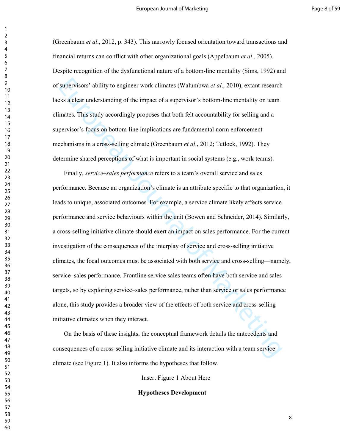(Greenbaum *et al*., 2012, p. 343). This narrowly focused orientation toward transactions and financial returns can conflict with other organizational goals (Appelbaum *et al*., 2005). Despite recognition of the dysfunctional nature of a bottom-line mentality (Sims, 1992) and of supervisors' ability to engineer work climates (Walumbwa *et al*., 2010), extant research lacks a clear understanding of the impact of a supervisor's bottom-line mentality on team climates. This study accordingly proposes that both felt accountability for selling and a supervisor's focus on bottom-line implications are fundamental norm enforcement mechanisms in a cross-selling climate (Greenbaum *et al*., 2012; Tetlock, 1992). They determine shared perceptions of what is important in social systems (e.g., work teams).

supervisors' ability to engineer work climates (Walumbwa *et al.*, 2010), extant research<br>
Exs a clear understanding of the impact of a supervisor's bottom-line mentality on team<br>
mates. This study accordingly proposes th Finally, *service–sales performance* refers to a team's overall service and sales performance. Because an organization's climate is an attribute specific to that organization, it leads to unique, associated outcomes. For example, a service climate likely affects service performance and service behaviours within the unit (Bowen and Schneider, 2014). Similarly, a cross-selling initiative climate should exert an impact on sales performance. For the current investigation of the consequences of the interplay of service and cross-selling initiative climates, the focal outcomes must be associated with both service and cross-selling—namely, service–sales performance. Frontline service sales teams often have both service and sales targets, so by exploring service–sales performance, rather than service or sales performance alone, this study provides a broader view of the effects of both service and cross-selling initiative climates when they interact.

On the basis of these insights, the conceptual framework details the antecedents and consequences of a cross-selling initiative climate and its interaction with a team service climate (see Figure 1). It also informs the hypotheses that follow.

Insert Figure 1 About Here

**Hypotheses Development**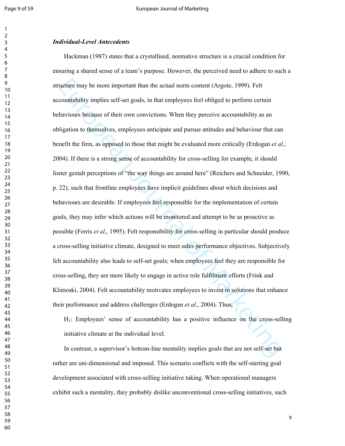#### *Individual-Level Antecedents*

ucture may be more important than the actual norm content (Argote, 1999). Felt<br>countability implies self-set goals, in that employees feel obliged to perform certain<br>haviours because of their own convictions. When they per Hackman (1987) states that a crystallised, normative structure is a crucial condition for ensuring a shared sense of a team's purpose. However, the perceived need to adhere to such a structure may be more important than the actual norm content (Argote, 1999). Felt accountability implies self-set goals, in that employees feel obliged to perform certain behaviours because of their own convictions. When they perceive accountability as an obligation to themselves, employees anticipate and pursue attitudes and behaviour that can benefit the firm, as opposed to those that might be evaluated more critically (Erdogan *et al*., 2004). If there is a strong sense of accountability for cross-selling for example, it should foster gestalt perceptions of "the way things are around here" (Reichers and Schneider, 1990, p. 22), such that frontline employees have implicit guidelines about which decisions and behaviours are desirable. If employees feel responsible for the implementation of certain goals, they may infer which actions will be monitored and attempt to be as proactive as possible (Ferris *et al*., 1995). Felt responsibility for cross-selling in particular should produce a cross-selling initiative climate, designed to meet sales performance objectives. Subjectively felt accountability also leads to self-set goals; when employees feel they are responsible for cross-selling, they are more likely to engage in active role fulfilment efforts (Frink and Klimoski, 2004). Felt accountability motivates employees to invest in solutions that enhance their performance and address challenges (Erdogan *et al*., 2004). Thus,

H1: Employees' sense of accountability has a positive influence on the cross-selling initiative climate at the individual level.

In contrast, a supervisor's bottom-line mentality implies goals that are not self-set but rather are uni-dimensional and imposed. This scenario conflicts with the self-starting goal development associated with cross-selling initiative taking. When operational managers exhibit such a mentality, they probably dislike unconventional cross-selling initiatives, such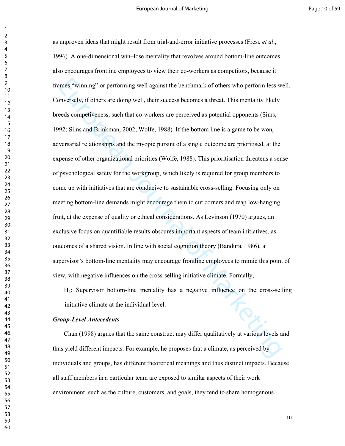umes "winning" or performing well against the benchmark of others who perform less w<br>onversely, if others are doing well, their success becomes a threat. This mentality likely<br>ceeds competiveness, such that co-workers are as unproven ideas that might result from trial-and-error initiative processes (Frese *et al*., 1996). A one-dimensional win–lose mentality that revolves around bottom-line outcomes also encourages frontline employees to view their co-workers as competitors, because it frames "winning" or performing well against the benchmark of others who perform less well. Conversely, if others are doing well, their success becomes a threat. This mentality likely breeds competiveness, such that co-workers are perceived as potential opponents (Sims, 1992; Sims and Brinkman, 2002; Wolfe, 1988). If the bottom line is a game to be won, adversarial relationships and the myopic pursuit of a single outcome are prioritised, at the expense of other organizational priorities (Wolfe, 1988). This prioritisation threatens a sense of psychological safety for the workgroup, which likely is required for group members to come up with initiatives that are conducive to sustainable cross-selling. Focusing only on meeting bottom-line demands might encourage them to cut corners and reap low-hanging fruit, at the expense of quality or ethical considerations. As Levinson (1970) argues, an exclusive focus on quantifiable results obscures important aspects of team initiatives, as outcomes of a shared vision. In line with social cognition theory (Bandura, 1986), a supervisor's bottom-line mentality may encourage frontline employees to mimic this point of view, with negative influences on the cross-selling initiative climate. Formally,

H2: Supervisor bottom-line mentality has a negative influence on the cross-selling initiative climate at the individual level.

#### *Group-Level Antecedents*

Chan (1998) argues that the same construct may differ qualitatively at various levels and thus yield different impacts. For example, he proposes that a climate, as perceived by individuals and groups, has different theoretical meanings and thus distinct impacts. Because all staff members in a particular team are exposed to similar aspects of their work environment, such as the culture, customers, and goals, they tend to share homogenous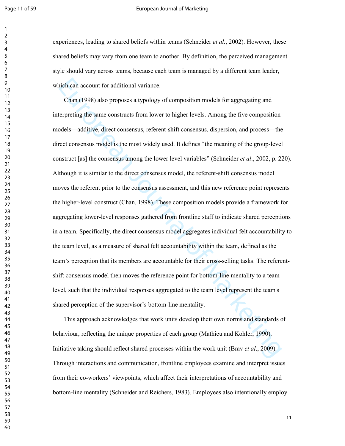#### Page 11 of 59 **European Journal of Marketing**

experiences, leading to shared beliefs within teams (Schneider *et al*., 2002). However, these shared beliefs may vary from one team to another. By definition, the perceived management style should vary across teams, because each team is managed by a different team leader, which can account for additional variance.

ich can account for additional variance.<br>
Chan (1998) also proposes a typology of composition models for aggregating and<br>
etrpreting the same constructs from lower to higher levels. Among the five composition<br>
odels—additi Chan (1998) also proposes a typology of composition models for aggregating and interpreting the same constructs from lower to higher levels. Among the five composition models—additive, direct consensus, referent-shift consensus, dispersion, and process—the direct consensus model is the most widely used. It defines "the meaning of the group-level construct [as] the consensus among the lower level variables" (Schneider *et al*., 2002, p. 220). Although it is similar to the direct consensus model, the referent-shift consensus model moves the referent prior to the consensus assessment, and this new reference point represents the higher-level construct (Chan, 1998). These composition models provide a framework for aggregating lower-level responses gathered from frontline staff to indicate shared perceptions in a team. Specifically, the direct consensus model aggregates individual felt accountability to the team level, as a measure of shared felt accountability within the team, defined as the team's perception that its members are accountable for their cross-selling tasks. The referentshift consensus model then moves the reference point for bottom-line mentality to a team level, such that the individual responses aggregated to the team level represent the team's shared perception of the supervisor's bottom-line mentality.

This approach acknowledges that work units develop their own norms and standards of behaviour, reflecting the unique properties of each group (Mathieu and Kohler, 1990). Initiative taking should reflect shared processes within the work unit (Brav *et al*., 2009). Through interactions and communication, frontline employees examine and interpret issues from their co-workers' viewpoints, which affect their interpretations of accountability and bottom-line mentality (Schneider and Reichers, 1983). Employees also intentionally employ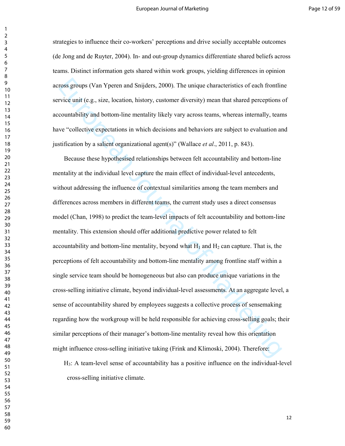strategies to influence their co-workers' perceptions and drive socially acceptable outcomes (de Jong and de Ruyter, 2004). In- and out-group dynamics differentiate shared beliefs across teams. Distinct information gets shared within work groups, yielding differences in opinion across groups (Van Yperen and Snijders, 2000). The unique characteristics of each frontline service unit (e.g., size, location, history, customer diversity) mean that shared perceptions of accountability and bottom-line mentality likely vary across teams, whereas internally, teams have "collective expectations in which decisions and behaviors are subject to evaluation and justification by a salient organizational agent(s)" (Wallace *et al*., 2011, p. 843).

ross groups (Van Yperen and Snijders, 2000). The unique characteristics of each frontlindual prior unit (e.g., size, location, history, customer diversity) mean that shared perceptions countability and bottom-line mentali Because these hypothesised relationships between felt accountability and bottom-line mentality at the individual level capture the main effect of individual-level antecedents, without addressing the influence of contextual similarities among the team members and differences across members in different teams, the current study uses a direct consensus model (Chan, 1998) to predict the team-level impacts of felt accountability and bottom-line mentality. This extension should offer additional predictive power related to felt accountability and bottom-line mentality, beyond what  $H_1$  and  $H_2$  can capture. That is, the perceptions of felt accountability and bottom-line mentality among frontline staff within a single service team should be homogeneous but also can produce unique variations in the cross-selling initiative climate, beyond individual-level assessments. At an aggregate level, a sense of accountability shared by employees suggests a collective process of sensemaking regarding how the workgroup will be held responsible for achieving cross-selling goals; their similar perceptions of their manager's bottom-line mentality reveal how this orientation might influence cross-selling initiative taking (Frink and Klimoski, 2004). Therefore:

H3: A team-level sense of accountability has a positive influence on the individual-level cross-selling initiative climate.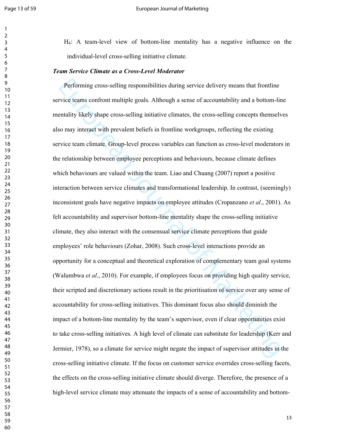#### Page 13 of 59 **European Journal of Marketing**

H4: A team-level view of bottom-line mentality has a negative influence on the individual-level cross-selling initiative climate.

#### *Team Service Climate as a Cross-Level Moderator*

Performing cross-selling responsibilities during service delivery means that frontline<br>rive teams confront multiple goals. Although a sense of accountability and a bottom-lin<br>entility likely shape cross-selling initiative Performing cross-selling responsibilities during service delivery means that frontline service teams confront multiple goals. Although a sense of accountability and a bottom-line mentality likely shape cross-selling initiative climates, the cross-selling concepts themselves also may interact with prevalent beliefs in frontline workgroups, reflecting the existing service team climate. Group-level process variables can function as cross-level moderators in the relationship between employee perceptions and behaviours, because climate defines which behaviours are valued within the team. Liao and Chuang (2007) report a positive interaction between service climates and transformational leadership. In contrast, (seemingly) inconsistent goals have negative impacts on employee attitudes (Cropanzano *et al*., 2001). As felt accountability and supervisor bottom-line mentality shape the cross-selling initiative climate, they also interact with the consensual service climate perceptions that guide employees' role behaviours (Zohar, 2008). Such cross-level interactions provide an opportunity for a conceptual and theoretical exploration of complementary team goal systems (Walumbwa *et al*., 2010). For example, if employees focus on providing high quality service, their scripted and discretionary actions result in the prioritisation of service over any sense of accountability for cross-selling initiatives. This dominant focus also should diminish the impact of a bottom-line mentality by the team's supervisor, even if clear opportunities exist to take cross-selling initiatives. A high level of climate can substitute for leadership (Kerr and Jermier, 1978), so a climate for service might negate the impact of supervisor attitudes in the cross-selling initiative climate. If the focus on customer service overrides cross-selling facets, the effects on the cross-selling initiative climate should diverge. Therefore, the presence of a high-level service climate may attenuate the impacts of a sense of accountability and bottom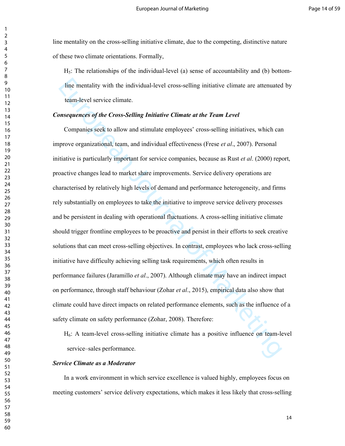line mentality on the cross-selling initiative climate, due to the competing, distinctive nature of these two climate orientations. Formally,

 $H_5$ : The relationships of the individual-level (a) sense of accountability and (b) bottomline mentality with the individual-level cross-selling initiative climate are attenuated by team-level service climate.

#### *Consequences of the Cross-Selling Initiative Climate at the Team Level*

line mentality with the individual-level cross-selling initiative climate are attenuated<br>team-level service climate.<br>**onsequences of the Cross-Selling Initiative Climate at the Team Level<br>Companies seek to allow and stimu** Companies seek to allow and stimulate employees' cross-selling initiatives, which can improve organizational, team, and individual effectiveness (Frese *et al*., 2007). Personal initiative is particularly important for service companies, because as Rust *et al*. (2000) report, proactive changes lead to market share improvements. Service delivery operations are characterised by relatively high levels of demand and performance heterogeneity, and firms rely substantially on employees to take the initiative to improve service delivery processes and be persistent in dealing with operational fluctuations. A cross-selling initiative climate should trigger frontline employees to be proactive and persist in their efforts to seek creative solutions that can meet cross-selling objectives. In contrast, employees who lack cross-selling initiative have difficulty achieving selling task requirements, which often results in performance failures (Jaramillo *et al*., 2007). Although climate may have an indirect impact on performance, through staff behaviour (Zohar *et al*., 2015), empirical data also show that climate could have direct impacts on related performance elements, such as the influence of a safety climate on safety performance (Zohar, 2008). Therefore:

H6: A team-level cross-selling initiative climate has a positive influence on team-level service–sales performance.

#### *Service Climate as a Moderator*

In a work environment in which service excellence is valued highly, employees focus on meeting customers' service delivery expectations, which makes it less likely that cross-selling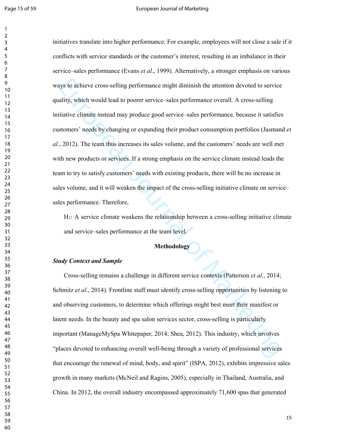#### Page 15 of 59 **European Journal of Marketing**

ays to achieve cross-selling performance might diminish the attention devoted to service<br>ality, which would lead to poorer service -sales performance overall. A cross-selling<br>titutive climate instead may produce good servi initiatives translate into higher performance. For example, employees will not close a sale if it conflicts with service standards or the customer's interest, resulting in an imbalance in their service–sales performance (Evans *et al*., 1999). Alternatively, a stronger emphasis on various ways to achieve cross-selling performance might diminish the attention devoted to service quality, which would lead to poorer service–sales performance overall. A cross-selling initiative climate instead may produce good service–sales performance, because it satisfies customers' needs by changing or expanding their product consumption portfolios (Jasmand *et al*., 2012). The team thus increases its sales volume, and the customers' needs are well met with new products or services. If a strong emphasis on the service climate instead leads the team to try to satisfy customers' needs with existing products, there will be no increase in sales volume, and it will weaken the impact of the cross-selling initiative climate on service– sales performance. Therefore,

H7: A service climate weakens the relationship between a cross-selling initiative climate and service–sales performance at the team level.

# **Methodology**

#### *Study Context and Sample*

Cross-selling remains a challenge in different service contexts (Patterson *et al*., 2014; Schmitz *et al*., 2014). Frontline staff must identify cross-selling opportunities by listening to and observing customers, to determine which offerings might best meet their manifest or latent needs. In the beauty and spa salon services sector, cross-selling is particularly important (ManageMySpa Whitepaper, 2014; Shea, 2012). This industry, which involves "places devoted to enhancing overall well-being through a variety of professional services that encourage the renewal of mind, body, and spirit" (ISPA, 2012), exhibits impressive sales growth in many markets (McNeil and Ragins, 2005), especially in Thailand, Australia, and China. In 2012, the overall industry encompassed approximately 71,600 spas that generated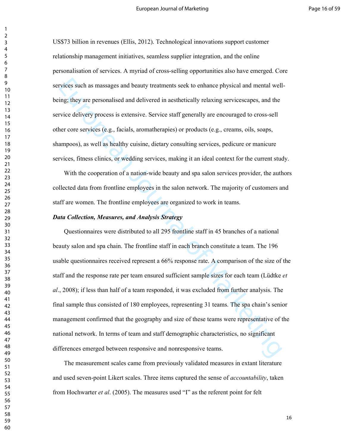US\$73 billion in revenues (Ellis, 2012). Technological innovations support customer relationship management initiatives, seamless supplier integration, and the online personalisation of services. A myriad of cross-selling opportunities also have emerged. Core services such as massages and beauty treatments seek to enhance physical and mental wellbeing; they are personalised and delivered in aesthetically relaxing servicescapes, and the service delivery process is extensive. Service staff generally are encouraged to cross-sell other core services (e.g., facials, aromatherapies) or products (e.g., creams, oils, soaps, shampoos), as well as healthy cuisine, dietary consulting services, pedicure or manicure services, fitness clinics, or wedding services, making it an ideal context for the current study.

With the cooperation of a nation-wide beauty and spa salon services provider, the authors collected data from frontline employees in the salon network. The majority of customers and staff are women. The frontline employees are organized to work in teams.

#### *Data Collection, Measures, and Analysis Strategy*

rivices such as massages and beauty treatments seek to enhance physical and mental well<br>ing; they are personalised and delivered in aesthetically relaxing servicescapes, and the<br>rivice delivery process is extensive. Servic Questionnaires were distributed to all 295 frontline staff in 45 branches of a national beauty salon and spa chain. The frontline staff in each branch constitute a team. The 196 usable questionnaires received represent a 66% response rate. A comparison of the size of the staff and the response rate per team ensured sufficient sample sizes for each team (Lüdtke *et al*., 2008); if less than half of a team responded, it was excluded from further analysis. The final sample thus consisted of 180 employees, representing 31 teams. The spa chain's senior management confirmed that the geography and size of these teams were representative of the national network. In terms of team and staff demographic characteristics, no significant differences emerged between responsive and nonresponsive teams.

The measurement scales came from previously validated measures in extant literature and used seven-point Likert scales. Three items captured the sense of *accountability*, taken from Hochwarter *et al*. (2005). The measures used "I" as the referent point for felt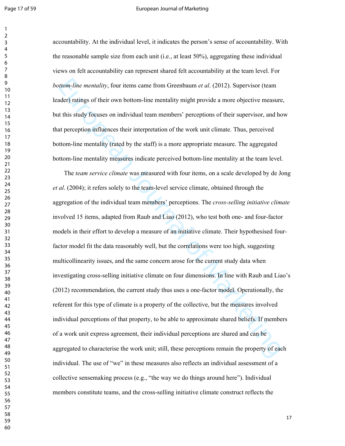#### Page 17 of 59 **Page 17 of 59** European Journal of Marketing

accountability. At the individual level, it indicates the person's sense of accountability. With the reasonable sample size from each unit (i.e., at least 50%), aggregating these individual views on felt accountability can represent shared felt accountability at the team level. For *bottom-line mentality*, four items came from Greenbaum *et al*. (2012). Supervisor (team leader) ratings of their own bottom-line mentality might provide a more objective measure, but this study focuses on individual team members' perceptions of their supervisor, and how that perception influences their interpretation of the work unit climate. Thus, perceived bottom-line mentality (rated by the staff) is a more appropriate measure. The aggregated bottom-line mentality measures indicate perceived bottom-line mentality at the team level.

tiom-line mentality, four items came from Greenbaum et al. (2012). Supervisor (team<br>der) ratings of their own bottom-line mentality might provide a more objective measure<br>this study locuses on individual team members' per The *team service climate* was measured with four items, on a scale developed by de Jong *et al*. (2004); it refers solely to the team-level service climate, obtained through the aggregation of the individual team members' perceptions. The *cross-selling initiative climate* involved 15 items, adapted from Raub and Liao (2012), who test both one- and four-factor models in their effort to develop a measure of an initiative climate. Their hypothesised fourfactor model fit the data reasonably well, but the correlations were too high, suggesting multicollinearity issues, and the same concern arose for the current study data when investigating cross-selling initiative climate on four dimensions. In line with Raub and Liao's (2012) recommendation, the current study thus uses a one-factor model. Operationally, the referent for this type of climate is a property of the collective, but the measures involved individual perceptions of that property, to be able to approximate shared beliefs. If members of a work unit express agreement, their individual perceptions are shared and can be aggregated to characterise the work unit; still, these perceptions remain the property of each individual. The use of "we" in these measures also reflects an individual assessment of a collective sensemaking process (e.g., "the way we do things around here"). Individual members constitute teams, and the cross-selling initiative climate construct reflects the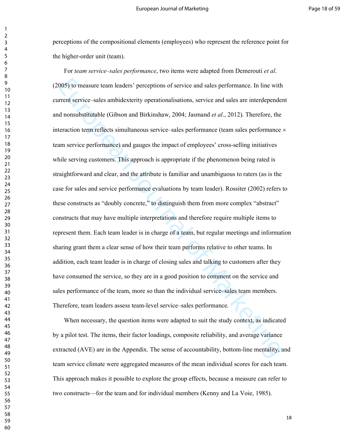perceptions of the compositional elements (employees) who represent the reference point for the higher-order unit (team).

005) to measure team leaders' perceptions of service and sales performance. In line with<br>rent service sales ambidexterity operationalisations, service and sales are interdepended<br>nonsubstitutable (Gibson and Birkinshaw, 20 For *team service–sales performance*, two items were adapted from Demerouti *et al*. (2005) to measure team leaders' perceptions of service and sales performance. In line with current service–sales ambidexterity operationalisations, service and sales are interdependent and nonsubstitutable (Gibson and Birkinshaw, 2004; Jasmand *et al*., 2012). Therefore, the interaction term reflects simultaneous service–sales performance (team sales performance × team service performance) and gauges the impact of employees' cross-selling initiatives while serving customers. This approach is appropriate if the phenomenon being rated is straightforward and clear, and the attribute is familiar and unambiguous to raters (as is the case for sales and service performance evaluations by team leader). Rossiter (2002) refers to these constructs as "doubly concrete," to distinguish them from more complex "abstract" constructs that may have multiple interpretations and therefore require multiple items to represent them. Each team leader is in charge of a team, but regular meetings and information sharing grant them a clear sense of how their team performs relative to other teams. In addition, each team leader is in charge of closing sales and talking to customers after they have consumed the service, so they are in a good position to comment on the service and sales performance of the team, more so than the individual service–sales team members. Therefore, team leaders assess team-level service–sales performance.

When necessary, the question items were adapted to suit the study context, as indicated by a pilot test. The items, their factor loadings, composite reliability, and average variance extracted (AVE) are in the Appendix. The sense of accountability, bottom-line mentality, and team service climate were aggregated measures of the mean individual scores for each team. This approach makes it possible to explore the group effects, because a measure can refer to two constructs—for the team and for individual members (Kenny and La Voie, 1985).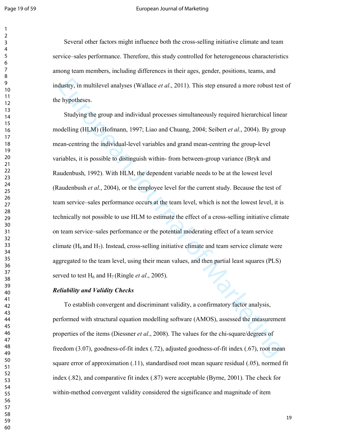#### Page 19 of 59 **Page 19 of Sepany Article 2018** European Journal of Marketing

Several other factors might influence both the cross-selling initiative climate and team service–sales performance. Therefore, this study controlled for heterogeneous characteristics among team members, including differences in their ages, gender, positions, teams, and industry, in multilevel analyses (Wallace *et al*., 2011). This step ensured a more robust test of the hypotheses.

dustry, in multilevel analyses (Wallace *et al.*, 2011). This step ensured a more robust test<br>
hypotheses.<br>
Sludying the group and individual processes simultaneously required hierarchical line<br>
odelling (HLM) (Hofmann, 1 Studying the group and individual processes simultaneously required hierarchical linear modelling (HLM) (Hofmann, 1997; Liao and Chuang, 2004; Seibert *et al*., 2004). By group mean-centring the individual-level variables and grand mean-centring the group-level variables, it is possible to distinguish within- from between-group variance (Bryk and Raudenbush, 1992). With HLM, the dependent variable needs to be at the lowest level (Raudenbush *et al*., 2004), or the employee level for the current study. Because the test of team service–sales performance occurs at the team level, which is not the lowest level, it is technically not possible to use HLM to estimate the effect of a cross-selling initiative climate on team service–sales performance or the potential moderating effect of a team service climate  $(H_6$  and  $H_7$ ). Instead, cross-selling initiative climate and team service climate were aggregated to the team level, using their mean values, and then partial least squares (PLS) served to test  $H_6$  and  $H_7$  (Ringle *et al.*, 2005).

#### *Reliability and Validity Checks*

To establish convergent and discriminant validity, a confirmatory factor analysis, performed with structural equation modelling software (AMOS), assessed the measurement properties of the items (Diessner *et al*., 2008). The values for the chi-square/degrees of freedom (3.07), goodness-of-fit index (.72), adjusted goodness-of-fit index (.67), root mean square error of approximation (.11), standardised root mean square residual (.05), normed fit index (.82), and comparative fit index (.87) were acceptable (Byrne, 2001). The check for within-method convergent validity considered the significance and magnitude of item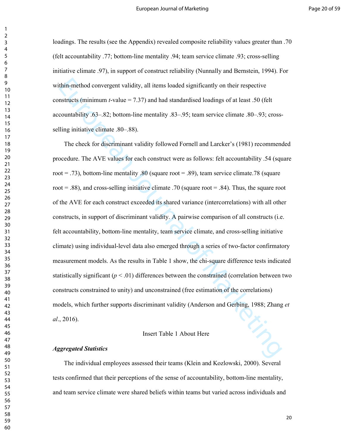loadings. The results (see the Appendix) revealed composite reliability values greater than .70 (felt accountability .77; bottom-line mentality .94; team service climate .93; cross-selling initiative climate .97), in support of construct reliability (Nunnally and Bernstein, 1994). For within-method convergent validity, all items loaded significantly on their respective constructs (minimum *t*-value = 7.37) and had standardised loadings of at least .50 (felt accountability .63–.82; bottom-line mentality .83–.95; team service climate .80–.93; crossselling initiative climate .80–.88).

thin-method convergent validity, all items loaded significantly on their respective<br>nstructs (minimum t-value = 7.37) and had standardised loadings of at least .50 (felt<br>countability .63–.82; bottom-line mentality .83–.95 The check for discriminant validity followed Fornell and Larcker's (1981) recommended procedure. The AVE values for each construct were as follows: felt accountability .54 (square root = .73), bottom-line mentality .80 (square root = .89), team service climate.78 (square root  $= .88$ ), and cross-selling initiative climate .70 (square root  $= .84$ ). Thus, the square root of the AVE for each construct exceeded its shared variance (intercorrelations) with all other constructs, in support of discriminant validity. A pairwise comparison of all constructs (i.e. felt accountability, bottom-line mentality, team service climate, and cross-selling initiative climate) using individual-level data also emerged through a series of two-factor confirmatory measurement models. As the results in Table 1 show, the chi-square difference tests indicated statistically significant  $(p < .01)$  differences between the constrained (correlation between two constructs constrained to unity) and unconstrained (free estimation of the correlations) models, which further supports discriminant validity (Anderson and Gerbing, 1988; Zhang *et al*., 2016).

#### Insert Table 1 About Here

#### *Aggregated Statistics*

The individual employees assessed their teams (Klein and Kozlowski, 2000). Several tests confirmed that their perceptions of the sense of accountability, bottom-line mentality, and team service climate were shared beliefs within teams but varied across individuals and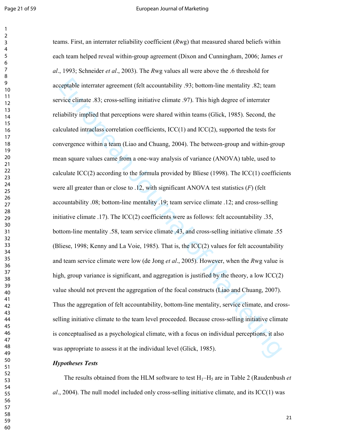#### Page 21 of 59 **European Journal of Marketing**

coptable interrater agreement (felt accountability .93; bottom-line mentality .82; team<br>vice climate .83; cross-selling initiative climate .97). This high degree of interrater<br>liability implied that perceptions were shared teams. First, an interrater reliability coefficient (*R*wg) that measured shared beliefs within each team helped reveal within-group agreement (Dixon and Cunningham, 2006; James *et al*., 1993; Schneider *et al*., 2003). The *R*wg values all were above the .6 threshold for acceptable interrater agreement (felt accountability .93; bottom-line mentality .82; team service climate .83; cross-selling initiative climate .97). This high degree of interrater reliability implied that perceptions were shared within teams (Glick, 1985). Second, the calculated intraclass correlation coefficients,  $\text{ICC}(1)$  and  $\text{ICC}(2)$ , supported the tests for convergence within a team (Liao and Chuang, 2004). The between-group and within-group mean square values came from a one-way analysis of variance (ANOVA) table, used to calculate  $ICC(2)$  according to the formula provided by Bliese (1998). The  $ICC(1)$  coefficients were all greater than or close to .12, with significant ANOVA test statistics (*F*) (felt accountability .08; bottom-line mentality .19; team service climate .12; and cross-selling initiative climate .17). The ICC(2) coefficients were as follows: felt accountability .35, bottom-line mentality .58, team service climate .43, and cross-selling initiative climate .55 (Bliese, 1998; Kenny and La Voie, 1985). That is, the ICC(2) values for felt accountability and team service climate were low (de Jong *et al*., 2005). However, when the *R*wg value is high, group variance is significant, and aggregation is justified by the theory, a low ICC(2) value should not prevent the aggregation of the focal constructs (Liao and Chuang, 2007). Thus the aggregation of felt accountability, bottom-line mentality, service climate, and crossselling initiative climate to the team level proceeded. Because cross-selling initiative climate is conceptualised as a psychological climate, with a focus on individual perceptions, it also was appropriate to assess it at the individual level (Glick, 1985).

#### *Hypotheses Tests*

The results obtained from the HLM software to test  $H_1-H_5$  are in Table 2 (Raudenbush *et al*., 2004). The null model included only cross-selling initiative climate, and its ICC(1) was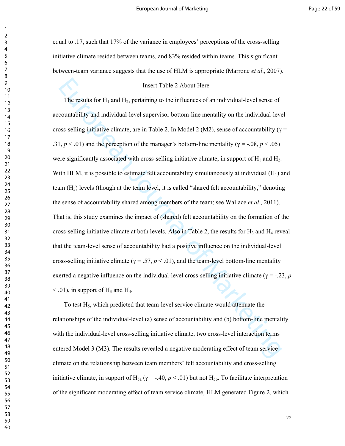equal to .17, such that 17% of the variance in employees' perceptions of the cross-selling initiative climate resided between teams, and 83% resided within teams. This significant between-team variance suggests that the use of HLM is appropriate (Marrone *et al*., 2007).

#### Insert Table 2 About Here

Insert Table 2 About Here<br>The results for H<sub>1</sub> and H<sub>2</sub>, pertaining to the influences of an individual-level sense of<br>countability and individual-level supervisor bottom-line mentality on the individual-level<br>sss-selling The results for  $H_1$  and  $H_2$ , pertaining to the influences of an individual-level sense of accountability and individual-level supervisor bottom-line mentality on the individual-level cross-selling initiative climate, are in Table 2. In Model 2 (M2), sense of accountability ( $\gamma$  = .31,  $p < .01$ ) and the perception of the manager's bottom-line mentality ( $\gamma = -.08$ ,  $p < .05$ ) were significantly associated with cross-selling initiative climate, in support of  $H_1$  and  $H_2$ . With HLM, it is possible to estimate felt accountability simultaneously at individual  $(H_1)$  and team  $(H_3)$  levels (though at the team level, it is called "shared felt accountability," denoting the sense of accountability shared among members of the team; see Wallace *et al*., 2011). That is, this study examines the impact of (shared) felt accountability on the formation of the cross-selling initiative climate at both levels. Also in Table 2, the results for  $H_3$  and  $H_4$  reveal that the team-level sense of accountability had a positive influence on the individual-level cross-selling initiative climate ( $\gamma = .57$ ,  $p < .01$ ), and the team-level bottom-line mentality exerted a negative influence on the individual-level cross-selling initiative climate ( $\gamma = -23$ , *p*  $<$  0.1), in support of H<sub>3</sub> and H<sub>4</sub>.

To test  $H_5$ , which predicted that team-level service climate would attenuate the relationships of the individual-level (a) sense of accountability and (b) bottom-line mentality with the individual-level cross-selling initiative climate, two cross-level interaction terms entered Model 3 (M3). The results revealed a negative moderating effect of team service climate on the relationship between team members' felt accountability and cross-selling initiative climate, in support of  $H_{5a}$  ( $\gamma$  = -.40,  $p$  < .01) but not  $H_{5b}$ . To facilitate interpretation of the significant moderating effect of team service climate, HLM generated Figure 2, which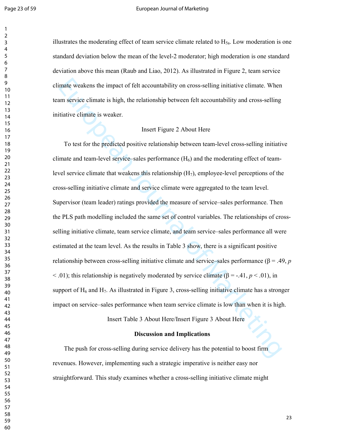#### Page 23 of 59 **European Journal of Marketing**

illustrates the moderating effect of team service climate related to  $H_{5a}$ . Low moderation is one standard deviation below the mean of the level-2 moderator; high moderation is one standard deviation above this mean (Raub and Liao, 2012). As illustrated in Figure 2, team service climate weakens the impact of felt accountability on cross-selling initiative climate. When team service climate is high, the relationship between felt accountability and cross-selling initiative climate is weaker.

#### Insert Figure 2 About Here

imate weakens the impact of felt accountability on cross-selling initiative climate. When<br>m service climate is high, the relationship between felt accountability and cross-selling<br>titative climate is weaker.<br>
Insert Figur To test for the predicted positive relationship between team-level cross-selling initiative climate and team-level service–sales performance  $(H<sub>6</sub>)$  and the moderating effect of teamlevel service climate that weakens this relationship  $(H<sub>7</sub>)$ , employee-level perceptions of the cross-selling initiative climate and service climate were aggregated to the team level. Supervisor (team leader) ratings provided the measure of service–sales performance. Then the PLS path modelling included the same set of control variables. The relationships of crossselling initiative climate, team service climate, and team service–sales performance all were estimated at the team level. As the results in Table 3 show, there is a significant positive relationship between cross-selling initiative climate and service–sales performance (β = .49, *p*  $<$  0.01); this relationship is negatively moderated by service climate ( $\beta$  = -.41, *p* < .01), in support of  $H_6$  and  $H_7$ . As illustrated in Figure 3, cross-selling initiative climate has a stronger impact on service–sales performance when team service climate is low than when it is high.

Insert Table 3 About Here/Insert Figure 3 About Here

#### **Discussion and Implications**

The push for cross-selling during service delivery has the potential to boost firm revenues. However, implementing such a strategic imperative is neither easy nor straightforward. This study examines whether a cross-selling initiative climate might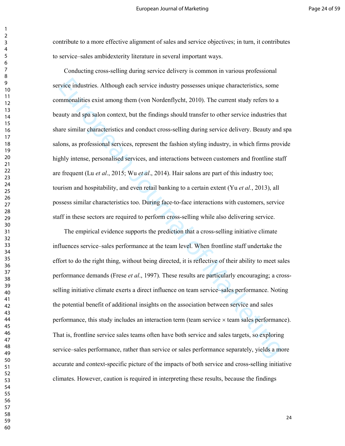contribute to a more effective alignment of sales and service objectives; in turn, it contributes to service–sales ambidexterity literature in several important ways.

rivice industries. Although each service industry possesses unique characteristics, some<br>mmonalities exist among them (von Nordenflycht, 2010). The current study refers to a<br>auty and spa salon context, but the findings sh Conducting cross-selling during service delivery is common in various professional service industries. Although each service industry possesses unique characteristics, some commonalities exist among them (von Nordenflycht, 2010). The current study refers to a beauty and spa salon context, but the findings should transfer to other service industries that share similar characteristics and conduct cross-selling during service delivery. Beauty and spa salons, as professional services, represent the fashion styling industry, in which firms provide highly intense, personalised services, and interactions between customers and frontline staff are frequent (Lu *et al*., 2015; Wu *et al*., 2014). Hair salons are part of this industry too; tourism and hospitability, and even retail banking to a certain extent (Yu *et al.*, 2013), all possess similar characteristics too. During face-to-face interactions with customers, service staff in these sectors are required to perform cross-selling while also delivering service.

The empirical evidence supports the prediction that a cross-selling initiative climate influences service–sales performance at the team level. When frontline staff undertake the effort to do the right thing, without being directed, it is reflective of their ability to meet sales performance demands (Frese *et al*., 1997). These results are particularly encouraging; a crossselling initiative climate exerts a direct influence on team service–sales performance. Noting the potential benefit of additional insights on the association between service and sales performance, this study includes an interaction term (team service × team sales performance). That is, frontline service sales teams often have both service and sales targets, so exploring service–sales performance, rather than service or sales performance separately, yields a more accurate and context-specific picture of the impacts of both service and cross-selling initiative climates. However, caution is required in interpreting these results, because the findings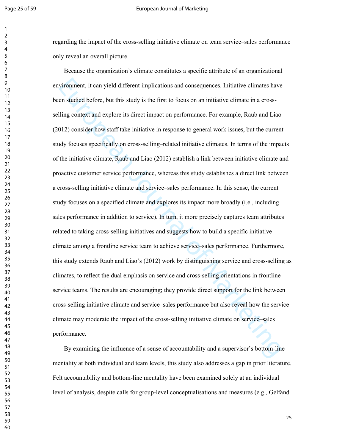#### Page 25 of 59 **European Journal of Marketing**

regarding the impact of the cross-selling initiative climate on team service–sales performance only reveal an overall picture.

vironment, it can yield different implications and consequences. Initiative climates have<br>en studied before, but this study is the first to focus on an initiative climate in a cross-<br>Elling context ind explore its direct i Because the organization's climate constitutes a specific attribute of an organizational environment, it can yield different implications and consequences. Initiative climates have been studied before, but this study is the first to focus on an initiative climate in a crossselling context and explore its direct impact on performance. For example, Raub and Liao (2012) consider how staff take initiative in response to general work issues, but the current study focuses specifically on cross-selling–related initiative climates. In terms of the impacts of the initiative climate, Raub and Liao (2012) establish a link between initiative climate and proactive customer service performance, whereas this study establishes a direct link between a cross-selling initiative climate and service–sales performance. In this sense, the current study focuses on a specified climate and explores its impact more broadly (i.e., including sales performance in addition to service). In turn, it more precisely captures team attributes related to taking cross-selling initiatives and suggests how to build a specific initiative climate among a frontline service team to achieve service–sales performance. Furthermore, this study extends Raub and Liao's (2012) work by distinguishing service and cross-selling as climates, to reflect the dual emphasis on service and cross-selling orientations in frontline service teams. The results are encouraging; they provide direct support for the link between cross-selling initiative climate and service–sales performance but also reveal how the service climate may moderate the impact of the cross-selling initiative climate on service–sales performance.

By examining the influence of a sense of accountability and a supervisor's bottom-line mentality at both individual and team levels, this study also addresses a gap in prior literature. Felt accountability and bottom-line mentality have been examined solely at an individual level of analysis, despite calls for group-level conceptualisations and measures (e.g., Gelfand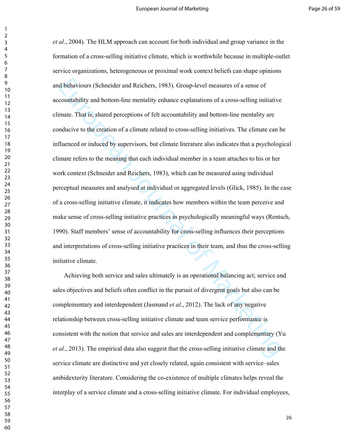d behaviours (Schneider and Reichers, 1983). Group-level measures of a sense of<br>countability and bottom-line mentality enhance explanations of a cross-selling initiative<br>imate. That is, shared perceptions of felt accounta *et al*., 2004). The HLM approach can account for both individual and group variance in the formation of a cross-selling initiative climate, which is worthwhile because in multiple-outlet service organizations, heterogeneous or proximal work context beliefs can shape opinions and behaviours (Schneider and Reichers, 1983). Group-level measures of a sense of accountability and bottom-line mentality enhance explanations of a cross-selling initiative climate. That is, shared perceptions of felt accountability and bottom-line mentality are conducive to the creation of a climate related to cross-selling initiatives. The climate can be influenced or induced by supervisors, but climate literature also indicates that a psychological climate refers to the meaning that each individual member in a team attaches to his or her work context (Schneider and Reichers, 1983), which can be measured using individual perceptual measures and analysed at individual or aggregated levels (Glick, 1985). In the case of a cross-selling initiative climate, it indicates how members within the team perceive and make sense of cross-selling initiative practices in psychologically meaningful ways (Rentsch, 1990). Staff members' sense of accountability for cross-selling influences their perceptions and interpretations of cross-selling initiative practices in their team, and thus the cross-selling initiative climate.

Achieving both service and sales ultimately is an operational balancing act; service and sales objectives and beliefs often conflict in the pursuit of divergent goals but also can be complementary and interdependent (Jasmand *et al*., 2012). The lack of any negative relationship between cross-selling initiative climate and team service performance is consistent with the notion that service and sales are interdependent and complementary (Yu *et al*., 2013). The empirical data also suggest that the cross-selling initiative climate and the service climate are distinctive and yet closely related, again consistent with service–sales ambidexterity literature. Considering the co-existence of multiple climates helps reveal the interplay of a service climate and a cross-selling initiative climate. For individual employees,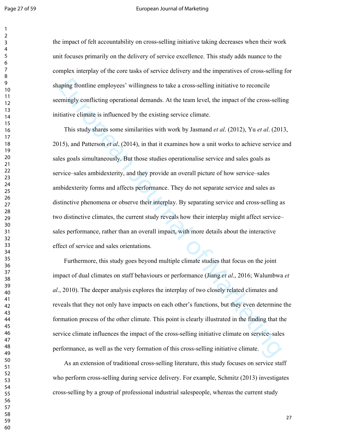#### Page 27 of 59 **European Journal of Marketing**

the impact of felt accountability on cross-selling initiative taking decreases when their work unit focuses primarily on the delivery of service excellence. This study adds nuance to the complex interplay of the core tasks of service delivery and the imperatives of cross-selling for shaping frontline employees' willingness to take a cross-selling initiative to reconcile seemingly conflicting operational demands. At the team level, the impact of the cross-selling initiative climate is influenced by the existing service climate.

aping frontline employees' willingness to take a cross-selling initiative to reconcile<br>emingly conflicting operational demands. At the team level, the impact of the cross-selli<br>titutive climate is influenced by the existi This study shares some similarities with work by Jasmand *et al*. (2012), Yu *et al*. (2013, 2015), and Patterson *et al*. (2014), in that it examines how a unit works to achieve service and sales goals simultaneously. But those studies operationalise service and sales goals as service–sales ambidexterity, and they provide an overall picture of how service–sales ambidexterity forms and affects performance. They do not separate service and sales as distinctive phenomena or observe their interplay. By separating service and cross-selling as two distinctive climates, the current study reveals how their interplay might affect service– sales performance, rather than an overall impact, with more details about the interactive effect of service and sales orientations.

Furthermore, this study goes beyond multiple climate studies that focus on the joint impact of dual climates on staff behaviours or performance (Jiang *et al*., 2016; Walumbwa *et al*., 2010). The deeper analysis explores the interplay of two closely related climates and reveals that they not only have impacts on each other's functions, but they even determine the formation process of the other climate. This point is clearly illustrated in the finding that the service climate influences the impact of the cross-selling initiative climate on service–sales performance, as well as the very formation of this cross-selling initiative climate.

As an extension of traditional cross-selling literature, this study focuses on service staff who perform cross-selling during service delivery. For example, Schmitz (2013) investigates cross-selling by a group of professional industrial salespeople, whereas the current study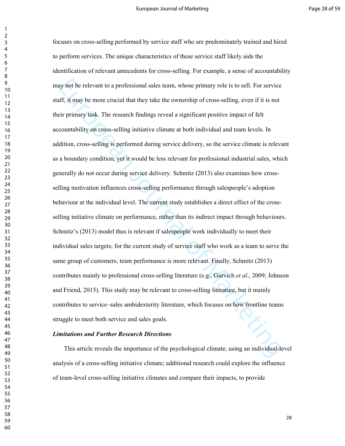ay not be relevant to a professional sales team, whose primary role is to sell. For service<br>fr, it may be more crucial that they take the ownership of cross-selling, even if it is not<br>eir primary task. The research finding focuses on cross-selling performed by service staff who are predominately trained and hired to perform services. The unique characteristics of these service staff likely aids the identification of relevant antecedents for cross-selling. For example, a sense of accountability may not be relevant to a professional sales team, whose primary role is to sell. For service staff, it may be more crucial that they take the ownership of cross-selling, even if it is not their primary task. The research findings reveal a significant positive impact of felt accountability on cross-selling initiative climate at both individual and team levels. In addition, cross-selling is performed during service delivery, so the service climate is relevant as a boundary condition, yet it would be less relevant for professional industrial sales, which generally do not occur during service delivery. Schmitz (2013) also examines how crossselling motivation influences cross-selling performance through salespeople's adoption behaviour at the individual level. The current study establishes a direct effect of the crossselling initiative climate on performance, rather than its indirect impact through behaviours. Schmitz's (2013) model thus is relevant if salespeople work individually to meet their individual sales targets; for the current study of service staff who work as a team to serve the same group of customers, team performance is more relevant. Finally, Schmitz (2013) contributes mainly to professional cross-selling literature (e.g., Gurvich *et al*., 2009; Johnson and Friend, 2015). This study may be relevant to cross-selling literature, but it mainly contributes to service–sales ambidexterity literature, which focuses on how frontline teams struggle to meet both service and sales goals.

#### *Limitations and Further Research Directions*

This article reveals the importance of the psychological climate, using an individual-level analysis of a cross-selling initiative climate; additional research could explore the influence of team-level cross-selling initiative climates and compare their impacts, to provide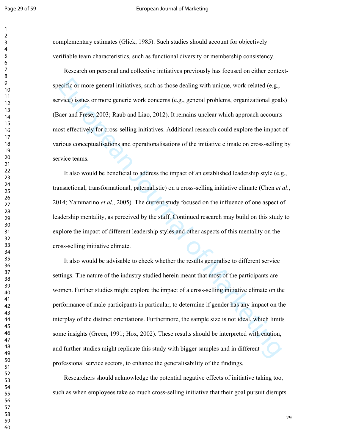#### Page 29 of 59 **European Journal of Marketing**

complementary estimates (Glick, 1985). Such studies should account for objectively verifiable team characteristics, such as functional diversity or membership consistency.

Research on personal and collective initiatives previously has focused on either contextspecific or more general initiatives, such as those dealing with unique, work-related (e.g., service) issues or more generic work concerns (e.g., general problems, organizational goals) (Baer and Frese, 2003; Raub and Liao, 2012). It remains unclear which approach accounts most effectively for cross-selling initiatives. Additional research could explore the impact of various conceptualisations and operationalisations of the initiative climate on cross-selling by service teams.

It also would be beneficial to address the impact of an established leadership style (e.g., transactional, transformational, paternalistic) on a cross-selling initiative climate (Chen *et al*., 2014; Yammarino *et al*., 2005). The current study focused on the influence of one aspect of leadership mentality, as perceived by the staff. Continued research may build on this study to explore the impact of different leadership styles and other aspects of this mentality on the cross-selling initiative climate.

ecific or more general initiatives, such as those dealing with unique, work-related (e.g., <br>rivies) issues or more generic work concerns (e.g., general problems, organizational goal<br>aer and Frese, 2003; Raub and Liao, 2012 It also would be advisable to check whether the results generalise to different service settings. The nature of the industry studied herein meant that most of the participants are women. Further studies might explore the impact of a cross-selling initiative climate on the performance of male participants in particular, to determine if gender has any impact on the interplay of the distinct orientations. Furthermore, the sample size is not ideal, which limits some insights (Green, 1991; Hox, 2002). These results should be interpreted with caution, and further studies might replicate this study with bigger samples and in different professional service sectors, to enhance the generalisability of the findings.

Researchers should acknowledge the potential negative effects of initiative taking too, such as when employees take so much cross-selling initiative that their goal pursuit disrupts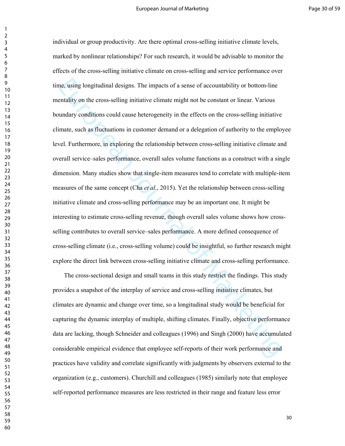the, using longitudinal designs. The impacts of a sense of accountability or bottom-line<br>entality on the cross-selling initiative climate might not be constant or linear. Various<br>undary conditions could cause heterogeneity individual or group productivity. Are there optimal cross-selling initiative climate levels, marked by nonlinear relationships? For such research, it would be advisable to monitor the effects of the cross-selling initiative climate on cross-selling and service performance over time, using longitudinal designs. The impacts of a sense of accountability or bottom-line mentality on the cross-selling initiative climate might not be constant or linear. Various boundary conditions could cause heterogeneity in the effects on the cross-selling initiative climate, such as fluctuations in customer demand or a delegation of authority to the employee level. Furthermore, in exploring the relationship between cross-selling initiative climate and overall service–sales performance, overall sales volume functions as a construct with a single dimension. Many studies show that single-item measures tend to correlate with multiple-item measures of the same concept (Cha *et al*., 2015). Yet the relationship between cross-selling initiative climate and cross-selling performance may be an important one. It might be interesting to estimate cross-selling revenue, though overall sales volume shows how crossselling contributes to overall service–sales performance. A more defined consequence of cross-selling climate (i.e., cross-selling volume) could be insightful, so further research might explore the direct link between cross-selling initiative climate and cross-selling performance.

The cross-sectional design and small teams in this study restrict the findings. This study provides a snapshot of the interplay of service and cross-selling initiative climates, but climates are dynamic and change over time, so a longitudinal study would be beneficial for capturing the dynamic interplay of multiple, shifting climates. Finally, objective performance data are lacking, though Schneider and colleagues (1996) and Singh (2000) have accumulated considerable empirical evidence that employee self-reports of their work performance and practices have validity and correlate significantly with judgments by observers external to the organization (e.g., customers). Churchill and colleagues (1985) similarly note that employee self-reported performance measures are less restricted in their range and feature less error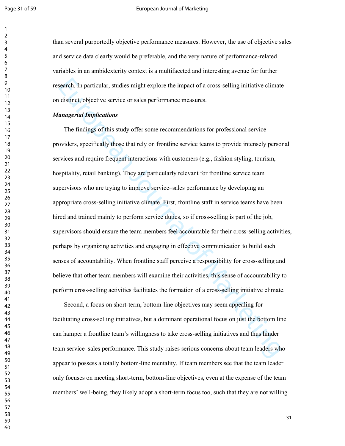#### Page 31 of 59 **European Journal of Marketing**

than several purportedly objective performance measures. However, the use of objective sales and service data clearly would be preferable, and the very nature of performance-related variables in an ambidexterity context is a multifaceted and interesting avenue for further research. In particular, studies might explore the impact of a cross-selling initiative climate on distinct, objective service or sales performance measures.

#### *Managerial Implications*

search. In particular, studies might explore the impact of a cross-selling initiative climate distinct, objective service or sales performance measures.<br> *anagerial Implications*<br>
The findings of this study offer some reco The findings of this study offer some recommendations for professional service providers, specifically those that rely on frontline service teams to provide intensely personal services and require frequent interactions with customers (e.g., fashion styling, tourism, hospitality, retail banking). They are particularly relevant for frontline service team supervisors who are trying to improve service–sales performance by developing an appropriate cross-selling initiative climate. First, frontline staff in service teams have been hired and trained mainly to perform service duties, so if cross-selling is part of the job, supervisors should ensure the team members feel accountable for their cross-selling activities, perhaps by organizing activities and engaging in effective communication to build such senses of accountability. When frontline staff perceive a responsibility for cross-selling and believe that other team members will examine their activities, this sense of accountability to perform cross-selling activities facilitates the formation of a cross-selling initiative climate.

Second, a focus on short-term, bottom-line objectives may seem appealing for facilitating cross-selling initiatives, but a dominant operational focus on just the bottom line can hamper a frontline team's willingness to take cross-selling initiatives and thus hinder team service–sales performance. This study raises serious concerns about team leaders who appear to possess a totally bottom-line mentality. If team members see that the team leader only focuses on meeting short-term, bottom-line objectives, even at the expense of the team members' well-being, they likely adopt a short-term focus too, such that they are not willing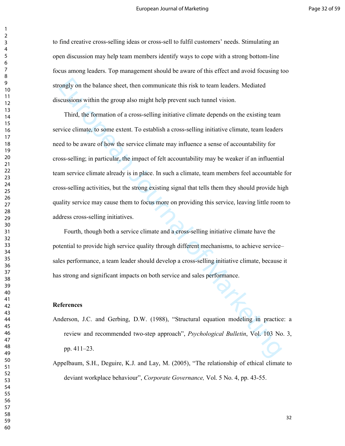to find creative cross-selling ideas or cross-sell to fulfil customers' needs. Stimulating an open discussion may help team members identify ways to cope with a strong bottom-line focus among leaders. Top management should be aware of this effect and avoid focusing too strongly on the balance sheet, then communicate this risk to team leaders. Mediated discussions within the group also might help prevent such tunnel vision.

ongly on the balance sheet, then communicate this risk to team leaders. Mediated<br>sensions within the group also might help prevent such tunnel vision.<br>Third, the formation of a cross-selling initiative climate depends on t Third, the formation of a cross-selling initiative climate depends on the existing team service climate, to some extent. To establish a cross-selling initiative climate, team leaders need to be aware of how the service climate may influence a sense of accountability for cross-selling; in particular, the impact of felt accountability may be weaker if an influential team service climate already is in place. In such a climate, team members feel accountable for cross-selling activities, but the strong existing signal that tells them they should provide high quality service may cause them to focus more on providing this service, leaving little room to address cross-selling initiatives.

Fourth, though both a service climate and a cross-selling initiative climate have the potential to provide high service quality through different mechanisms, to achieve service– sales performance, a team leader should develop a cross-selling initiative climate, because it has strong and significant impacts on both service and sales performance.

#### **References**

- Anderson, J.C. and Gerbing, D.W. (1988), "Structural equation modeling in practice: a review and recommended two-step approach", *Psychological Bulletin*, Vol. 103 No. 3, pp. 411–23.
- Appelbaum, S.H., Deguire, K.J. and Lay, M. (2005), "The relationship of ethical climate to deviant workplace behaviour", *Corporate Governance,* Vol. 5 No. 4, pp. 43-55.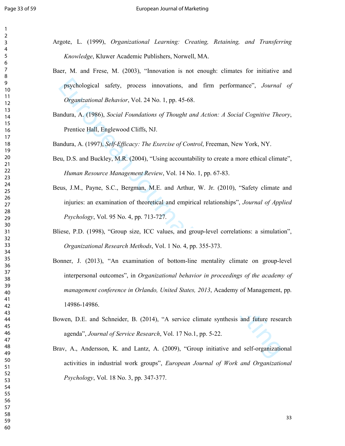- Argote, L. (1999), *Organizational Learning: Creating, Retaining, and Transferring Knowledge*, Kluwer Academic Publishers, Norwell, MA.
- Baer, M. and Frese, M. (2003), "Innovation is not enough: climates for initiative and psychological safety, process innovations, and firm performance", *Journal of Organizational Behavior*, Vol. 24 No. 1, pp. 45-68.
- Bandura, A. (1986), *Social Foundations of Thought and Action: A Social Cognitive Theory*, Prentice Hall, Englewood Cliffs, NJ.

Bandura, A. (1997), *Self-Efficacy: The Exercise of Control*, Freeman, New York, NY.

- Beu, D.S. and Buckley, M.R. (2004), "Using accountability to create a more ethical climate", *Human Resource Management Review*, Vol. 14 No. 1, pp. 67-83.
- Beus, J.M., Payne, S.C., Bergman, M.E. and Arthur, W. Jr. (2010), "Safety climate and injuries: an examination of theoretical and empirical relationships", *Journal of Applied Psychology*, Vol. 95 No. 4, pp. 713-727.
- Bliese, P.D. (1998), "Group size, ICC values, and group-level correlations: a simulation", *Organizational Research Methods*, Vol. 1 No. 4, pp. 355-373.
- psychological safety, process innovations, and firm performance", Journal<br> *Organizational Behavior*, Vol. 24 No. 1, pp. 45-68.<br>
mdura, A. (1996), Social Foundations of Thought and Action: A Social Cognitive Thee<br>
Premice Bonner, J. (2013), "An examination of bottom-line mentality climate on group-level interpersonal outcomes", in *Organizational behavior in proceedings of the academy of management conference in Orlando, United States, 2013*, Academy of Management, pp. 14986-14986.
- Bowen, D.E. and Schneider, B. (2014), "A service climate synthesis and future research agenda", *Journal of Service Research*, Vol. 17 No.1, pp. 5-22.
- Brav, A., Andersson, K. and Lantz, A. (2009), "Group initiative and self-organizational activities in industrial work groups", *European Journal of Work and Organizational Psychology*, Vol. 18 No. 3, pp. 347-377.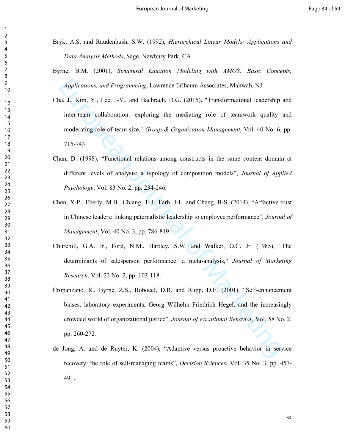- Bryk, A.S. and Raudenbush, S.W. (1992), *Hierarchical Linear Models: Applications and Data Analysis Methods*, Sage, Newbury Park, CA.
- Byrne, B.M. (2001), *Structural Equation Modeling with AMOS: Basic Concepts, Applications, and Programming*, Lawrence Erlbaum Associates, Mahwah, NJ.
- Applications, and Programming, Lawtence Erlbaum Associates, Mahwah, NJ.<br>
a, J., Kim, Y., Lee, J.-Y., and Bachrach, D.G. (2015), "Transformational leadership<br>
inter-team collaboration: exploring the mediating role of teamwo Cha, J., Kim, Y., Lee, J-Y., and Bachrach, D.G. (2015), "Transformational leadership and inter-team collaboration: exploring the mediating role of teamwork quality and moderating role of team size," *Group & Organization Management*, Vol. 40 No. 6, pp. 715-743.
- Chan, D. (1998), "Functional relations among constructs in the same content domain at different levels of analysis: a typology of composition models", *Journal of Applied Psychology*, Vol. 83 No. 2, pp. 234-246.
- Chen, X-P., Eberly, M.B., Chiang, T-J., Farh, J-L. and Cheng, B-S. (2014), "Affective trust in Chinese leaders: linking paternalistic leadership to employee performance", *Journal of Management*, Vol. 40 No. 3, pp. 786-819.
- Churchill, G.A. Jr., Ford, N.M., Hartley, S.W. and Walker, O.C. Jr. (1985), "The determinants of salesperson performance: a meta-analysis," *Journal of Marketing Research*, Vol. 22 No. 2, pp. 103-118.
- Cropanzano, R., Byrne, Z.S., Bobocel, D.R. and Rupp, D.E. (2001), "Self-enhancement biases, laboratory experiments, Georg Wilhelm Friedrich Hegel, and the increasingly crowded world of organizational justice", *Journal of Vocational Behavior,* Vol. 58 No. 2, pp. 260-272*.*
- de Jong, A. and de Ruyter, K. (2004), "Adaptive versus proactive behavior in service recovery: the role of self‐managing teams", *Decision Sciences*, Vol. 35 No. 3, pp. 457- 491.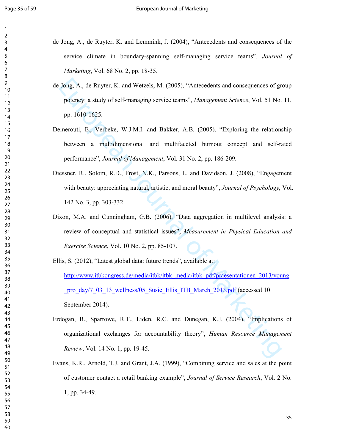- de Jong, A., de Ruyter, K. and Lemmink, J. (2004), "Antecedents and consequences of the service climate in boundary-spanning self-managing service teams", *Journal of Marketing*, Vol. 68 No. 2, pp. 18-35.
- de Jong, A., de Ruyter, K. and Wetzels, M. (2005), "Antecedents and consequences of group potency: a study of self-managing service teams", *Management Science*, Vol. 51 No. 11, pp. 1610-1625.
- Demerouti, E., Verbeke, W.J.M.I. and Bakker, A.B. (2005), "Exploring the relationship between a multidimensional and multifaceted burnout concept and self-rated performance", *Journal of Management*, Vol. 31 No. 2, pp. 186-209.
- Diessner, R., Solom, R.D., Frost, N.K., Parsons, L. and Davidson, J. (2008), "Engagement with beauty: appreciating natural, artistic, and moral beauty", *Journal of Psychology*, Vol. 142 No. 3, pp. 303-332.
- Dixon, M.A. and Cunningham, G.B. (2006), "Data aggregation in multilevel analysis: a review of conceptual and statistical issues", *Measurement in Physical Education and Exercise Science*, Vol. 10 No. 2, pp. 85-107.
- Jong, A., de Ruyter, K. and Wetzels, M. (2005), "Antecedents and consequences of gr<br>potency: a study of self-managing service teams", *Management Science*, Vol. 51 No.<br>pp. 1610-1625.<br>mercouti, F., Verbeke, WJ.M.I. and Bakk Ellis, S. (2012), "Latest global data: future trends", available at: http://www.itbkongress.de/media/itbk/itbk\_media/itbk\_pdf/praesentationen\_2013/young pro\_day/7\_03\_13\_wellness/05\_Susie\_Ellis\_ITB\_March\_2013.pdf (accessed 10 September 2014).
- Erdogan, B., Sparrowe, R.T., Liden, R.C. and Dunegan, K.J. (2004), "Implications of organizational exchanges for accountability theory", *Human Resource Management Review*, Vol. 14 No. 1, pp. 19-45.
- Evans, K.R., Arnold, T.J. and Grant, J.A. (1999), "Combining service and sales at the point of customer contact a retail banking example", *Journal of Service Research*, Vol. 2 No. 1, pp. 34-49.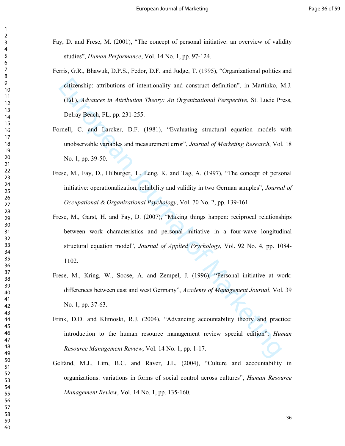- Fay, D. and Frese, M. (2001), "The concept of personal initiative: an overview of validity studies", *Human Performance*, Vol. 14 No. 1, pp. 97-124.
- Ferris, G.R., Bhawuk, D.P.S., Fedor, D.F. and Judge, T. (1995), "Organizational politics and citizenship: attributions of intentionality and construct definition", in Martinko, M.J. (Ed.), *Advances in Attribution Theory: An Organizational Perspective*, St. Lucie Press, Delray Beach, FL, pp. 231-255.
- Fornell, C. and Larcker, D.F. (1981), "Evaluating structural equation models with unobservable variables and measurement error", *Journal of Marketing Research*, Vol. 18 No. 1, pp. 39-50.
- Frese, M., Fay, D., Hilburger, T., Leng, K. and Tag, A. (1997), "The concept of personal initiative: operationalization, reliability and validity in two German samples", *Journal of Occupational & Organizational Psychology*, Vol. 70 No. 2, pp. 139-161.
- eitizenship: attributions of intentionality and construct definition", in Martinko, (Fd.), *Advances in Attribution Theory: An Organizational Perspective*, St. Lucie Pr<br>Delray Beach, FL, pp. 231-255.<br>
Smell, C. and Lacker Frese, M., Garst, H. and Fay, D. (2007), "Making things happen: reciprocal relationships between work characteristics and personal initiative in a four-wave longitudinal structural equation model", *Journal of Applied Psychology*, Vol. 92 No. 4, pp. 1084- 1102.
- Frese, M., Kring, W., Soose, A. and Zempel, J. (1996), "Personal initiative at work: differences between east and west Germany", *Academy of Management Journal*, Vol. 39 No. 1, pp. 37-63.
- Frink, D.D. and Klimoski, R.J. (2004), "Advancing accountability theory and practice: introduction to the human resource management review special edition", *Human Resource Management Review*, Vol. 14 No. 1, pp. 1-17.
- Gelfand, M.J., Lim, B.C. and Raver, J.L. (2004), "Culture and accountability in organizations: variations in forms of social control across cultures", *Human Resource Management Review*, Vol. 14 No. 1, pp. 135-160.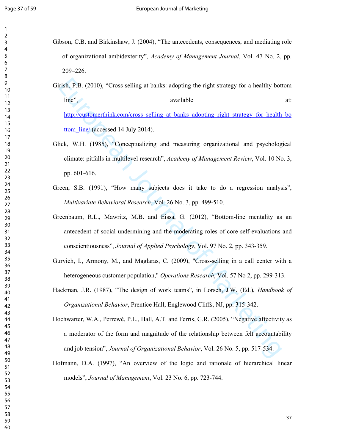- Gibson, C.B. and Birkinshaw, J. (2004), "The antecedents, consequences, and mediating role of organizational ambidexterity", *Academy of Management Journal*, Vol. 47 No. 2, pp. 209–226.
	- nish, P.B. (2010), "Cross selling at banks: adopting the right strategy for a healthy bot<br>
	line",<br>
	available<br>
	http://customerthink.com/cross\_selling\_at\_banks\_adopting\_right\_strategy\_ior\_health<br>
	ttom\_line((accessed 14 July Girish, P.B. (2010), "Cross selling at banks: adopting the right strategy for a healthy bottom line", available at: http://customerthink.com/cross\_selling\_at\_banks\_adopting\_right\_strategy\_for\_health\_bo ttom\_line/ (accessed 14 July 2014).
- Glick, W.H. (1985), "Conceptualizing and measuring organizational and psychological climate: pitfalls in multilevel research", *Academy of Management Review*, Vol. 10 No. 3, pp. 601-616.
- Green, S.B. (1991), "How many subjects does it take to do a regression analysis", *Multivariate Behavioral Research*, Vol. 26 No. 3, pp. 499-510.
- Greenbaum, R.L., Mawritz, M.B. and Eissa, G. (2012), "Bottom-line mentality as an antecedent of social undermining and the moderating roles of core self-evaluations and conscientiousness", *Journal of Applied Psychology*, Vol. 97 No. 2, pp. 343-359.
- Gurvich, I., Armony, M., and Maglaras, C. (2009), "Cross-selling in a call center with a heterogeneous customer population," *Operations Research*, Vol. 57 No 2, pp. 299-313.
- Hackman, J.R. (1987), "The design of work teams", in Lorsch, J.W. (Ed.), *Handbook of Organizational Behavior*, Prentice Hall, Englewood Cliffs, NJ, pp. 315-342.
- Hochwarter, W.A., Perrewé, P.L., Hall, A.T. and Ferris, G.R. (2005), "Negative affectivity as a moderator of the form and magnitude of the relationship between felt accountability and job tension", *Journal of Organizational Behavior*, Vol. 26 No. 5, pp. 517-534.
- Hofmann, D.A. (1997), "An overview of the logic and rationale of hierarchical linear models", *Journal of Management*, Vol. 23 No. 6, pp. 723-744.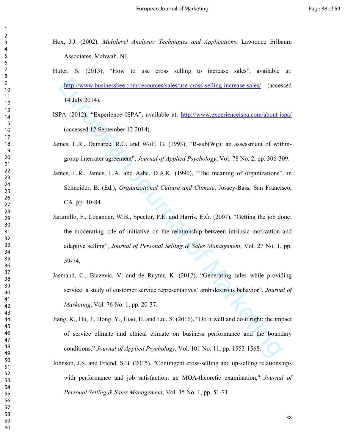Hox, J.J. (2002), *Multilevel Analysis: Techniques and Applications*, Lawrence Erlbaum Associates, Mahwah, NJ.

- Huter, S. (2013), "How to use cross selling to increase sales", available at: http://www.businessbee.com/resources/sales/use-cross-selling-increase-sales/ (accessed 14 July 2014).
- ISPA (2012), "Experience ISPA", available at: http://www.experienceispa.com/about-ispa/ (accessed 12 September 12 2014).
- James, L.R., Demaree, R.G. and Wolf, G. (1993), "R-sub(Wg): an assessment of withingroup interrater agreement", *Journal of Applied Psychology*, Vol. 78 No. 2, pp. 306-309.
- James, L.R., James, L.A. and Ashe, D.A.K. (1990), "The meaning of organizations", in Schneider, B. (Ed.), *Organizational Culture and Climate*, Jossey-Bass, San Francisco, CA, pp. 40-84.
- http://www.businessbee.com/resources/sales/use-cross-selling-increase-sales/ (acces<br>
14 July 2014).<br>
PA (2012), "Experience ISPA", available at: http://www.experienceispa.com/about-is<br>
(accessed 12 September 12 2014),<br>
me Jaramillo, F., Locander, W.B., Spector, P.E. and Harris, E.G. (2007), "Getting the job done: the moderating role of initiative on the relationship between intrinsic motivation and adaptive selling", *Journal of Personal Selling & Sales Management*, Vol. 27 No. 1, pp. 59-74.
- Jasmand, C., Blazevic, V. and de Ruyter, K. (2012), "Generating sales while providing service: a study of customer service representatives' ambidextrous behavior", *Journal of Marketing*, Vol. 76 No. 1, pp. 20-37.
- Jiang, K., Hu, J., Hong, Y., Liao, H. and Liu, S. (2016), "Do it well and do it right: the impact of service climate and ethical climate on business performance and the boundary conditions," *Journal of Applied Psychology*, Vol. 101 No. 11, pp. 1553-1568.
- Johnson, J.S. and Friend, S.B. (2015), "Contingent cross-selling and up-selling relationships with performance and job satisfaction: an MOA-theoretic examination," *Journal of Personal Selling & Sales Management*, Vol. 35 No. 1, pp. 51-71.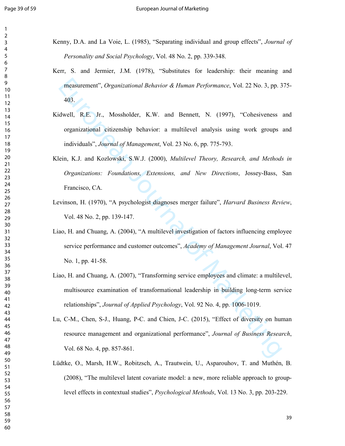- Kenny, D.A. and La Voie, L. (1985), "Separating individual and group effects", *Journal of Personality and Social Psychology*, Vol. 48 No. 2, pp. 339-348.
- Kerr, S. and Jermier, J.M. (1978), "Substitutes for leadership: their meaning and measurement", *Organizational Behavior & Human Performance*, Vol. 22 No. 3, pp. 375- 403.
- Kidwell, R.E. Jr., Mossholder, K.W. and Bennett, N. (1997), "Cohesiveness and organizational citizenship behavior: a multilevel analysis using work groups and individuals", *Journal of Management*, Vol. 23 No. 6, pp. 775-793.
- measurement", *Organizational Behavior* & *Human Performance*, Vol. 22 No. 3, pp. 3<br>403.<br>dwell, R.E. Jr., Mossholder, K.W. and Bennett, N. (1997). "Cohesiveness<br>organizational citizenship behavior: a multilevel analysis us Klein, K.J. and Kozlowski, S.W.J. (2000), *Multilevel Theory, Research, and Methods in Organizations: Foundations, Extensions, and New Directions*, Jossey-Bass, San Francisco, CA.
- Levinson, H. (1970), "A psychologist diagnoses merger failure", *Harvard Business Review*, Vol. 48 No. 2, pp. 139-147.
- Liao, H. and Chuang, A. (2004), "A multilevel investigation of factors influencing employee service performance and customer outcomes", *Academy of Management Journal*, Vol. 47 No. 1, pp. 41-58.
- Liao, H. and Chuang, A. (2007), "Transforming service employees and climate: a multilevel, multisource examination of transformational leadership in building long-term service relationships", *Journal of Applied Psychology*, Vol. 92 No. 4, pp. 1006-1019.
- Lu, C-M., Chen, S-J., Huang, P-C. and Chien, J-C. (2015), "Effect of diversity on human resource management and organizational performance", *Journal of Business Research*, Vol. 68 No. 4, pp. 857-861.
- Lüdtke, O., Marsh, H.W., Robitzsch, A., Trautwein, U., Asparouhov, T. and Muthén, B. (2008), "The multilevel latent covariate model: a new, more reliable approach to grouplevel effects in contextual studies", *Psychological Methods*, Vol. 13 No. 3, pp. 203-229.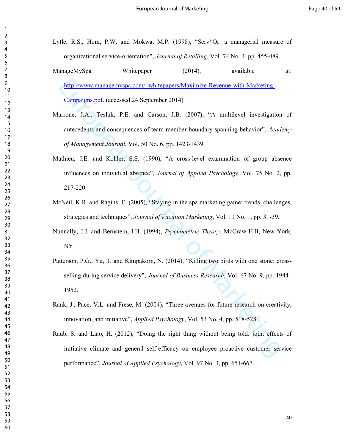- Lytle, R.S., Hom, P.W. and Mokwa, M.P. (1998), "Serv\*Or: a managerial measure of organizational service-orientation", *Journal of Retailing*, Vol. 74 No. 4, pp. 455-489.
- ManageMySpa Whitepaper (2014), available at: http://www.managemyspa.com/\_whitepapers/Maximize-Revenue-with-Marketing-Campaigns.pdf. (accessed 24 September 2014).
- Marrone, J.A., Tesluk, P.E. and Carson, J.B. (2007), "A multilevel investigation of antecedents and consequences of team member boundary-spanning behavior", *Academy of Management Journal*, Vol. 50 No. 6, pp. 1423-1439.
- Mathieu, J.E. and Kohler, S.S. (1990), "A cross-level examination of group absence influences on individual absence", *Journal of Applied Psychology*, Vol. 75 No. 2, pp. 217-220.
- McNeil, K.R. and Ragins, E. (2005), "Staying in the spa marketing game: trends, challenges, strategies and techniques", *Journal of Vacation Marketing*, Vol. 11 No. 1, pp. 31-39.
- Nunnally, J.J. and Bernstein, I.H. (1994), *Psychometric Theory*, McGraw-Hill, New York, NY.
- http://www.managemvspa.com/ whitepapers/Maximize-Revenue-with-Marketing-<br>Campaigns.pdf. (accessed 24 September 2014).<br>arrone, J.A., Tesluk, P.E. and Carson, J.B. (2007). "A multilevel investigation<br>antecedents and consequ Patterson, P.G., Yu, T. and Kimpakorn, N. (2014), "Killing two birds with one stone: crossselling during service delivery", *Journal of Business Research*, Vol. 67 No. 9, pp. 1944– 1952.
- Rank, J., Pace, V.L. and Frese, M. (2004), "Three avenues for future research on creativity, innovation, and initiative", *Applied Psychology*, Vol. 53 No. 4, pp. 518-528.
- Raub, S. and Liao, H. (2012), "Doing the right thing without being told: joint effects of initiative climate and general self-efficacy on employee proactive customer service performance", *Journal of Applied Psychology*, Vol. 97 No. 3, pp. 651-667.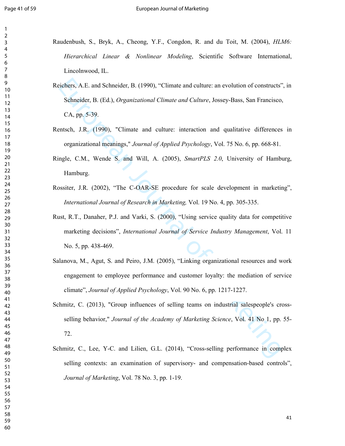- Raudenbush, S., Bryk, A., Cheong, Y.F., Congdon, R. and du Toit, M. (2004), *HLM6: Hierarchical Linear & Nonlinear Modeling*, Scientific Software International, Lincolnwood, IL.
- ichers, A.E. and Schneider, B. (1990), "Climate and culture: an evolution of constructs"<br>
Schneider, B. (F.d.), *Organizational Climate and Culture*, Jossey-Bass, San Francisco,<br>
CA, pp. 5-39.<br>
Inntsch, J.R. (1990), "Clima Reichers, A.E. and Schneider, B. (1990), "Climate and culture: an evolution of constructs", in Schneider, B. (Ed.), *Organizational Climate and Culture*, Jossey-Bass, San Francisco, CA, pp. 5-39.
- Rentsch, J.R. (1990), "Climate and culture: interaction and qualitative differences in organizational meanings," *Journal of Applied Psychology*, Vol. 75 No. 6, pp. 668-81.
- Ringle, C.M., Wende S. and Will, A. (2005), *SmartPLS 2.0*, University of Hamburg, Hamburg.
- Rossiter, J.R. (2002), "The C-OAR-SE procedure for scale development in marketing", *International Journal of Research in Marketing,* Vol. 19 No. 4, pp. 305-335.
- Rust, R.T., Danaher, P.J. and Varki, S. (2000), "Using service quality data for competitive marketing decisions", *International Journal of Service Industry Management*, Vol. 11 No. 5, pp. 438-469.
- Salanova, M., Agut, S. and Peiro, J.M. (2005), "Linking organizational resources and work engagement to employee performance and customer loyalty: the mediation of service climate", *Journal of Applied Psychology*, Vol. 90 No. 6, pp. 1217-1227.
- Schmitz, C. (2013), "Group influences of selling teams on industrial salespeople's crossselling behavior," *Journal of the Academy of Marketing Science*, Vol. 41 No 1, pp. 55- 72.
- Schmitz, C., Lee, Y-C. and Lilien, G.L. (2014), "Cross-selling performance in complex selling contexts: an examination of supervisory- and compensation-based controls", *Journal of Marketing*, Vol. 78 No. 3, pp. 1-19.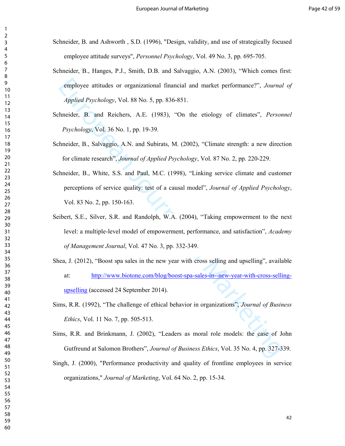- Schneider, B. and Ashworth , S.D. (1996), "Design, validity, and use of strategically focused employee attitude surveys", *Personnel Psychology*, Vol. 49 No. 3, pp. 695-705.
- Schneider, B., Hanges, P.J., Smith, D.B. and Salvaggio, A.N. (2003), "Which comes first: employee attitudes or organizational financial and market performance?", *Journal of Applied Psychology*, Vol. 88 No. 5, pp. 836-851.
- Schneider, B. and Reichers, A.E. (1983), "On the etiology of climates", *Personnel Psychology*, Vol. 36 No. 1, pp. 19-39.
- Schneider, B., Salvaggio, A.N. and Subirats, M. (2002), "Climate strength: a new direction for climate research", *Journal of Applied Psychology*, Vol. 87 No. 2, pp. 220-229.
- Schneider, B., White, S.S. and Paul, M.C. (1998), "Linking service climate and customer perceptions of service quality: test of a causal model", *Journal of Applied Psychology*, Vol. 83 No. 2, pp. 150-163.
- employee attitudes or organizational financial and market performance?", Journal<br>
Applied Psychology, Vol. 88 No. 5, pp. 836-851.<br>
hmeider, B. and Reichers, A.E. (1983), "On the etiology of climates", Person<br>
Psychology, Seibert, S.E., Silver, S.R. and Randolph, W.A. (2004), "Taking empowerment to the next level: a multiple-level model of empowerment, performance, and satisfaction", *Academy of Management Journal*, Vol. 47 No. 3, pp. 332-349.
- Shea, J. (2012), "Boost spa sales in the new year with cross selling and upselling", available at: http://www.biotone.com/blog/boost-spa-sales-in--new-year-with-cross-sellingupselling (accessed 24 September 2014).
- Sims, R.R. (1992), "The challenge of ethical behavior in organizations", *Journal of Business Ethics*, Vol. 11 No. 7, pp. 505-513.
- Sims, R.R. and Brinkmann, J. (2002), "Leaders as moral role models: the case of John Gutfreund at Salomon Brothers", *Journal of Business Ethics*, Vol. 35 No. 4, pp. 327-339.
- Singh, J. (2000), "Performance productivity and quality of frontline employees in service organizations," *Journal of Marketing*, Vol. 64 No. 2, pp. 15-34.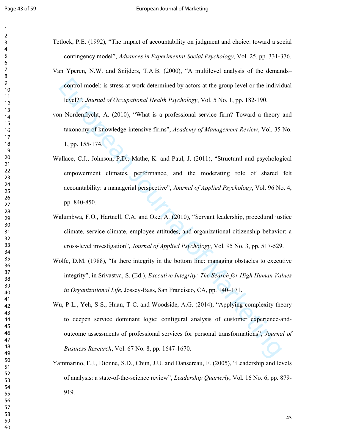- Tetlock, P.E. (1992), "The impact of accountability on judgment and choice: toward a social contingency model", *Advances in Experimental Social Psychology*, Vol. 25, pp. 331-376.
- Van Yperen, N.W. and Snijders, T.A.B. (2000), "A multilevel analysis of the demands– control model: is stress at work determined by actors at the group level or the individual level?", *Journal of Occupational Health Psychology*, Vol. 5 No. 1, pp. 182-190.
- von Nordenflycht, A. (2010), "What is a professional service firm? Toward a theory and taxonomy of knowledge-intensive firms", *Academy of Management Review*, Vol. 35 No. 1, pp. 155-174.
- control model: is stress at work determined by actors at the group level or the individueler<sup>979</sup>, *Journal of Occupational Health Psychology*, Vol. 5 No. 1, pp. 182-190.<br>
In Nordenllycht, A. (2010), "What is a prolessiona Wallace, C.J., Johnson, P.D., Mathe, K. and Paul, J. (2011), "Structural and psychological empowerment climates, performance, and the moderating role of shared felt accountability: a managerial perspective", *Journal of Applied Psychology*, Vol. 96 No. 4, pp. 840-850.
- Walumbwa, F.O., Hartnell, C.A. and Oke, A. (2010), "Servant leadership, procedural justice climate, service climate, employee attitudes, and organizational citizenship behavior: a cross-level investigation", *Journal of Applied Psychology*, Vol. 95 No. 3, pp. 517-529.
- Wolfe, D.M. (1988), "Is there integrity in the bottom line: managing obstacles to executive integrity", in Srivastva, S. (Ed.), *Executive Integrity: The Search for High Human Values in Organizational Life*, Jossey-Bass, San Francisco, CA, pp. 140–171.
- Wu, P-L., Yeh, S-S., Huan, T-C. and Woodside, A.G. (2014), "Applying complexity theory to deepen service dominant logic: configural analysis of customer experience-andoutcome assessments of professional services for personal transformations", *Journal of Business Research*, Vol. 67 No. 8, pp. 1647-1670.
- Yammarino, F.J., Dionne, S.D., Chun, J.U. and Dansereau, F. (2005), "Leadership and levels of analysis: a state-of-the-science review", *Leadership Quarterly*, Vol. 16 No. 6, pp. 879- 919.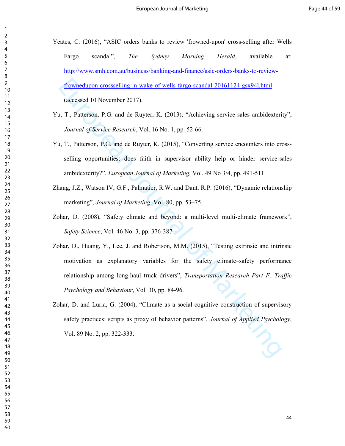- Yeates, C. (2016), "ASIC orders banks to review 'frowned-upon' cross-selling after Wells Fargo scandal", *The Sydney Morning Herald*, available at: http://www.smh.com.au/business/banking-and-finance/asic-orders-banks-to-reviewfrownedupon-crossselling-in-wake-of-wells-fargo-scandal-20161124-gsx94l.html (accessed 10 November 2017).
- Yu, T., Patterson, P.G. and de Ruyter, K. (2013), "Achieving service-sales ambidexterity", *Journal of Service Research*, Vol. 16 No. 1, pp. 52-66.
- Yu, T., Patterson, P.G. and de Ruyter, K. (2015), "Converting service encounters into crossselling opportunities: does faith in supervisor ability help or hinder service-sales ambidexterity?", *European Journal of Marketing*, Vol. 49 No 3/4, pp. 491-511.
- Zhang, J.Z., Watson IV, G.F., Palmatier, R.W. and Dant, R.P. (2016), "Dynamic relationship marketing", *Journal of Marketing*, Vol. 80, pp. 53–75.
- Zohar, D. (2008), "Safety climate and beyond: a multi-level multi-climate framework", *Safety Science*, Vol. 46 No. 3, pp. 376-387.
- Frowneedupon-crossselling-in-wake-of-wells-fargo-scandal-20161124-gsx941.html<br>(accessed 10 November 2017).<br>
1, T., Pattersion, P.G. and de Ruyter, K. (2013), "Achieving service-sales ambidexteri<br> *Journal of Service Resea* Zohar, D., Huang, Y., Lee, J. and Robertson, M.M. (2015), "Testing extrinsic and intrinsic motivation as explanatory variables for the safety climate–safety performance relationship among long-haul truck drivers", *Transportation Research Part F: Traffic Psychology and Behaviour*, Vol. 30, pp. 84-96.
- Zohar, D. and Luria, G. (2004), "Climate as a social-cognitive construction of supervisory safety practices: scripts as proxy of behavior patterns", *Journal of Applied Psychology*, Vol. 89 No. 2, pp. 322-333.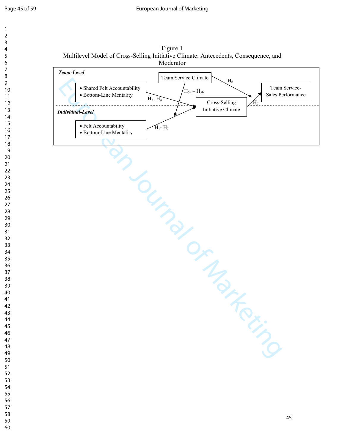



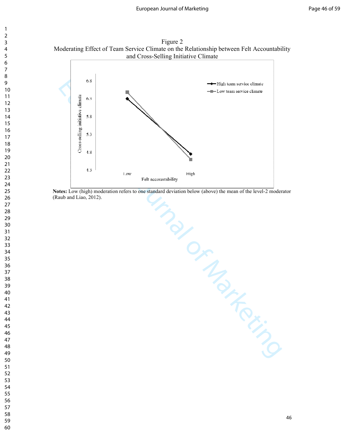Figure 2 Moderating Effect of Team Service Climate on the Relationship between Felt Accountability and Cross-Selling Initiative Climate



**Notes:** Low (high) moderation refers to one standard deviation below (above) the mean of the level-2 moderator (Raub and Liao, 2012).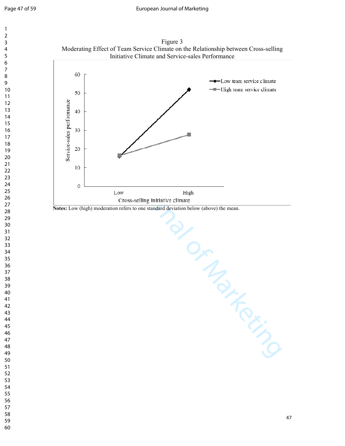





**Notes:** Low (high) moderation refers to one standard deviation below (above) the mean.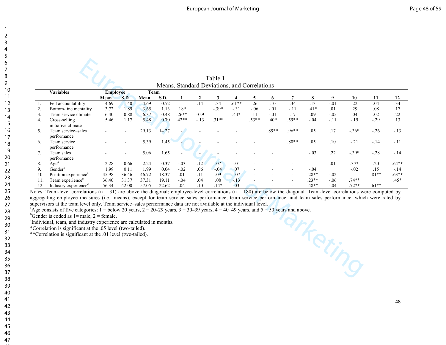|                |                                                                                                                                                                            |                 |                     |              |              |              |        | Table 1                                      |                  |          |          |          |          |             |           |           |           |
|----------------|----------------------------------------------------------------------------------------------------------------------------------------------------------------------------|-----------------|---------------------|--------------|--------------|--------------|--------|----------------------------------------------|------------------|----------|----------|----------|----------|-------------|-----------|-----------|-----------|
|                |                                                                                                                                                                            |                 |                     |              |              |              |        | Means, Standard Deviations, and Correlations |                  |          |          |          |          |             |           |           |           |
|                | <b>Variables</b>                                                                                                                                                           | <b>Employee</b> |                     | Team         |              |              |        |                                              |                  |          |          |          |          |             |           |           |           |
|                | Felt accountability                                                                                                                                                        | Mean<br>4.69    | <b>S.D.</b><br>1.40 | Mean<br>4.69 | S.D.<br>0.72 | $\mathbf{1}$ | .14    | 3<br>.34                                     | $.61**$          | 5<br>.26 | 6<br>.10 | 7<br>.34 | 8<br>.13 | 9<br>$-.01$ | 10<br>.22 | 11<br>.04 | 12<br>.34 |
| 1.<br>2.       | Bottom-line mentality                                                                                                                                                      | 3.72            | 1.89                | 3.65         | 1.13         | $.18*$       |        | $-.39*$                                      | $-.31$           | $-.06$   | $-.01$   | $-.11$   | $.41*$   | .01         | .29       | .08       | .17       |
| 3 <sub>1</sub> | Team service climate                                                                                                                                                       | 6.40            | 0.88                | 6.37         | 0.48         | $.26**$      | $-0.9$ |                                              | $.44*$           | .11      | $-.01$   | .17      | .09      | $-.05$      | .04       | .02       | .22       |
| 4.             | Cross-selling                                                                                                                                                              | 5.46            | 1.17                | 5.48         | 0.70         | $.42**$      | $-.13$ | $.31**$                                      |                  | $.53**$  | $.40*$   | $.59**$  | $-.04$   | $-.11$      | $-.19$    | $-.29$    | .13       |
|                | initiative climate                                                                                                                                                         |                 |                     |              |              |              |        |                                              |                  |          |          |          |          |             |           |           |           |
| 5 <sub>1</sub> | Team service-sales                                                                                                                                                         |                 |                     | 29.13        | 14.27        |              |        |                                              |                  |          | .89**    | $.96**$  | .05      | .17         | $-.36*$   | $-.26$    | $-.13$    |
|                | performance                                                                                                                                                                |                 |                     |              |              |              |        |                                              |                  |          |          |          |          |             |           |           |           |
| 6.             | Team service                                                                                                                                                               |                 |                     | 5.39         | 1.45         |              |        |                                              |                  |          |          | $.80**$  | .05      | .10         | $-21$     | $-.14$    | $-.11$    |
|                | performance                                                                                                                                                                |                 |                     |              |              |              |        |                                              |                  |          |          |          |          |             |           |           |           |
| 7.             | Team sales                                                                                                                                                                 |                 |                     | 5.06         | 1.65         |              |        |                                              |                  |          |          |          | $-.03$   | .22         | $-.39*$   | $-.28$    | $-.14$    |
|                | performance                                                                                                                                                                |                 |                     |              |              |              |        |                                              |                  |          |          |          |          |             |           |           |           |
| 8.             | Age <sup>a</sup>                                                                                                                                                           | 2.28            | 0.66                | 2.24         | 0.37         | $-.03$       | .12    | .07                                          | $-.01$           |          |          |          |          | .01         | $.37*$    | .20       | $.64**$   |
| 9.             | Gender <sup>b</sup>                                                                                                                                                        | 1.99            | 0.11                | 1.99         | 0.04         | $-.02$       | .06    | $-04$                                        | $\overline{0}$ . |          |          |          | $-.04$   |             | $-.02$    | .15       | $-.14$    |
| 10.            | Position experience <sup>c</sup>                                                                                                                                           | 45.98           | 36.46               | 46.72        | 18.37        | .01          | .11    | .09                                          | $-.07$           |          |          |          | $.28**$  | $-.02$      |           | $.81**$   | $.63**$   |
| 11.            | Team experience <sup>c</sup>                                                                                                                                               | 36.40           | 31.37               | 37.31        | 19.11        | $-.04$       | .04    | .08                                          | $-13$            |          |          |          | $.23**$  | $-.06$      | $.74**$   |           | $.45*$    |
| 12.            | Industry experience <sup>c</sup>                                                                                                                                           | 56.34           | 42.00               | 57.05        | 22.62        | .04          | .10    | $.14*$                                       | .03              |          |          |          | .48**    | $-.04$      | $.72**$   | $.61**$   |           |
|                | Notes: Team-level correlations $(n = 31)$ are above the diagonal; employee-level correlations $(n = 180)$ are below the diagonal. Team-level correlations were computed by |                 |                     |              |              |              |        |                                              |                  |          |          |          |          |             |           |           |           |
|                |                                                                                                                                                                            |                 |                     |              |              |              |        |                                              |                  |          |          |          |          |             |           |           |           |
|                | aggregating employee measures (i.e., means), except for team service-sales performance, team service performance, and team sales performance, which were rated by          |                 |                     |              |              |              |        |                                              |                  |          |          |          |          |             |           |           |           |
|                | supervisors at the team level only. Team service-sales performance data are not available at the individual level.                                                         |                 |                     |              |              |              |        |                                              |                  |          |          |          |          |             |           |           |           |
|                | <sup>a</sup> Age consists of five categories: $1 =$ below 20 years, $2 = 20-29$ years, $3 = 30-39$ years, $4 = 40-49$ years, and $5 = 50$ years and above.                 |                 |                     |              |              |              |        |                                              |                  |          |          |          |          |             |           |           |           |
|                | <sup>b</sup> Gender is coded as $1 =$ male, $2 =$ female.                                                                                                                  |                 |                     |              |              |              |        |                                              |                  |          |          |          |          |             |           |           |           |
|                | <sup>c</sup> Individual, team, and industry experience are calculated in months.                                                                                           |                 |                     |              |              |              |        |                                              |                  |          |          |          |          |             |           |           |           |
|                | *Correlation is significant at the .05 level (two-tailed).                                                                                                                 |                 |                     |              |              |              |        |                                              |                  |          |          |          |          |             |           |           |           |
|                | **Correlation is significant at the .01 level (two-tailed).                                                                                                                |                 |                     |              |              |              |        |                                              |                  |          |          |          |          |             |           |           |           |
|                |                                                                                                                                                                            |                 |                     |              |              |              |        |                                              |                  |          |          |          |          |             |           |           |           |
|                |                                                                                                                                                                            |                 |                     |              |              |              |        |                                              |                  |          |          |          |          |             |           |           |           |
|                |                                                                                                                                                                            |                 |                     |              |              |              |        |                                              |                  |          |          |          |          |             |           |           |           |
|                | arketin                                                                                                                                                                    |                 |                     |              |              |              |        |                                              |                  |          |          |          |          |             |           |           |           |
|                |                                                                                                                                                                            |                 |                     |              |              |              |        |                                              |                  |          |          |          |          |             |           |           |           |
|                |                                                                                                                                                                            |                 |                     |              |              |              |        |                                              |                  |          |          |          |          |             |           |           |           |
|                |                                                                                                                                                                            |                 |                     |              |              |              |        |                                              |                  |          |          |          |          |             |           |           |           |
|                |                                                                                                                                                                            |                 |                     |              |              |              |        |                                              |                  |          |          |          |          |             |           |           |           |

<sup>b</sup>Gender is coded as  $1 =$  male,  $2 =$  female.

<sup>c</sup>Individual, team, and industry experience are calculated in months.

\*Correlation is significant at the .05 level (two-tailed).

\*\*Correlation is significant at the .01 level (two-tailed).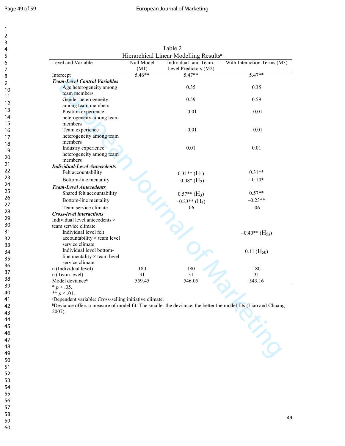#### Page 49 of 59 **Page 49 of 59** European Journal of Marketing

| 1                                        |  |
|------------------------------------------|--|
| $\overline{\mathbf{c}}$                  |  |
| 3                                        |  |
| 4                                        |  |
| 5                                        |  |
| 6                                        |  |
|                                          |  |
| 8                                        |  |
| 9                                        |  |
| 10                                       |  |
| $\mathbf{1}$<br>1                        |  |
| $\mathbf{1}$<br>$\overline{\mathcal{L}}$ |  |
| 3<br>1                                   |  |
| 4<br>1                                   |  |
| 15                                       |  |
| 16<br>1                                  |  |
| 18                                       |  |
| 19                                       |  |
| 20                                       |  |
| $\overline{21}$                          |  |
| $^{22}$                                  |  |
| 23                                       |  |
| 24                                       |  |
| 25                                       |  |
| 26                                       |  |
| 27                                       |  |
| 28                                       |  |
| 29                                       |  |
| 30                                       |  |
| 31                                       |  |
| 32                                       |  |
| 33                                       |  |
| 34                                       |  |
| 35                                       |  |
| 36                                       |  |
| 37                                       |  |
| 38                                       |  |
| 39                                       |  |
| 40                                       |  |
| 41                                       |  |
| 42                                       |  |
| 43                                       |  |
| 44                                       |  |
| 45                                       |  |
| 46                                       |  |
| 47                                       |  |
| 48                                       |  |
| 49                                       |  |
| 50                                       |  |
| 51                                       |  |
| 52                                       |  |
| 53                                       |  |
| 54                                       |  |
| 55                                       |  |
| 56                                       |  |
| 57                                       |  |
| 58                                       |  |

59 60

| Level and Variable                                                                                                        | Null Model | Hierarchical Linear Modelling Results <sup>a</sup><br>Individual- and Team- | With Interaction Terms (M3)  |
|---------------------------------------------------------------------------------------------------------------------------|------------|-----------------------------------------------------------------------------|------------------------------|
|                                                                                                                           | (M1)       | Level Predictors (M2)                                                       |                              |
| Intercept                                                                                                                 | $5.46**$   | $5.47**$                                                                    | $5.47**$                     |
| <b>Team-Level Control Variables</b>                                                                                       |            |                                                                             |                              |
| Age heterogeneity among                                                                                                   |            | 0.35                                                                        | 0.35                         |
| team members                                                                                                              |            |                                                                             |                              |
| Gender heterogeneity                                                                                                      |            | 0.59                                                                        | 0.59                         |
| among team members                                                                                                        |            |                                                                             |                              |
| Position experience                                                                                                       |            | $-0.01$                                                                     | $-0.01$                      |
| heterogeneity among team                                                                                                  |            |                                                                             |                              |
| members                                                                                                                   |            |                                                                             |                              |
| Team experience                                                                                                           |            | $-0.01$                                                                     | $-0.01$                      |
| heterogeneity among team                                                                                                  |            |                                                                             |                              |
| members                                                                                                                   |            |                                                                             |                              |
| Industry experience                                                                                                       |            | 0.01                                                                        | 0.01                         |
| heterogeneity among team                                                                                                  |            |                                                                             |                              |
| members                                                                                                                   |            |                                                                             |                              |
| <b>Individual-Level Antecedents</b>                                                                                       |            |                                                                             |                              |
| Felt accountability                                                                                                       |            | $0.31**$ (H <sub>1</sub> )                                                  | $0.31**$                     |
| Bottom-line mentality                                                                                                     |            | $-0.08*(H_2)$                                                               | $-0.10*$                     |
| <b>Team-Level Antecedents</b>                                                                                             |            |                                                                             |                              |
| Shared felt accountability                                                                                                |            | $0.57**$ (H <sub>3</sub> )                                                  | $0.57**$                     |
| Bottom-line mentality                                                                                                     |            | $-0.23**$ (H <sub>4</sub> )                                                 | $-0.23**$                    |
|                                                                                                                           |            |                                                                             |                              |
| Team service climate                                                                                                      |            | .06                                                                         | .06                          |
| <b>Cross-level interactions</b>                                                                                           |            |                                                                             |                              |
| Individual level antecedents ×                                                                                            |            |                                                                             |                              |
| team service climate<br>Individual level felt                                                                             |            |                                                                             |                              |
|                                                                                                                           |            |                                                                             | $-0.40**$ (H <sub>5a</sub> ) |
| accountability × team level<br>service climate                                                                            |            |                                                                             |                              |
| Individual level bottom-                                                                                                  |            |                                                                             |                              |
| line mentality $\times$ team level                                                                                        |            |                                                                             | $0.11$ (H <sub>5b</sub> )    |
| service climate                                                                                                           |            |                                                                             |                              |
| n (Individual level)                                                                                                      | 180        | 180                                                                         | 180                          |
| n (Team level)                                                                                                            | 31         | 31                                                                          | 31                           |
| Model deviance <sup>b</sup>                                                                                               | 559.45     | 546.05                                                                      | 543.16                       |
| $\sqrt[p]{p}$ < .05.                                                                                                      |            |                                                                             |                              |
|                                                                                                                           |            |                                                                             |                              |
| ** $p < .01$ .<br><sup>a</sup> Dependent variable: Cross-selling initiative climate.                                      |            |                                                                             |                              |
| <sup>b</sup> Deviance offers a measure of model fit: The smaller the deviance, the better the model fits (Liao and Chuang |            |                                                                             |                              |
| 2007).                                                                                                                    |            |                                                                             |                              |
|                                                                                                                           |            |                                                                             |                              |
|                                                                                                                           |            |                                                                             |                              |
|                                                                                                                           |            |                                                                             | Novel 1                      |
|                                                                                                                           |            |                                                                             |                              |
|                                                                                                                           |            |                                                                             |                              |
|                                                                                                                           |            |                                                                             |                              |
|                                                                                                                           |            |                                                                             |                              |

Table 2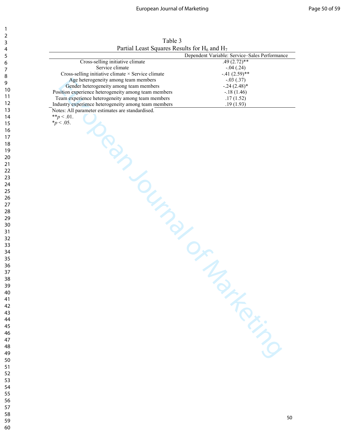Table 3 Partial Least Squares Results for  $H_6$  and  $H_7$ 

|                                                      | Dependent Variable: Service-Sales Performance |
|------------------------------------------------------|-----------------------------------------------|
| Cross-selling initiative climate                     | $.49(2.72)$ **                                |
| Service climate                                      | $-.04(.24)$                                   |
| Cross-selling initiative climate × Service climate   | $-41(2.59)$ **                                |
| Age heterogeneity among team members                 | $-.03(.37)$                                   |
| Gender heterogeneity among team members              | $-.24(2.48)*$                                 |
| Position experience heterogeneity among team members | $-.18(1.46)$                                  |
|                                                      |                                               |
| Team experience heterogeneity among team members     | .17(1.52)                                     |
| Industry experience heterogeneity among team members | .19(1.93)                                     |
| Notes: All parameter estimates are standardised.     |                                               |
| ** $p < .01$ .                                       |                                               |
| <i>*p</i> < .05.                                     |                                               |
|                                                      |                                               |
|                                                      |                                               |
|                                                      |                                               |
|                                                      |                                               |
|                                                      |                                               |
|                                                      |                                               |
|                                                      |                                               |
|                                                      |                                               |
|                                                      |                                               |
| <b>YOUTING CALLAN OF MANY</b>                        |                                               |
|                                                      |                                               |
|                                                      |                                               |
|                                                      |                                               |
|                                                      |                                               |
|                                                      |                                               |
|                                                      |                                               |
|                                                      |                                               |
|                                                      |                                               |
|                                                      |                                               |
|                                                      |                                               |
|                                                      |                                               |
|                                                      |                                               |
|                                                      |                                               |
|                                                      |                                               |
|                                                      |                                               |
|                                                      |                                               |
|                                                      |                                               |
|                                                      |                                               |
|                                                      |                                               |
|                                                      |                                               |
|                                                      |                                               |
|                                                      |                                               |
|                                                      |                                               |
|                                                      |                                               |
|                                                      |                                               |
|                                                      |                                               |
|                                                      |                                               |
|                                                      |                                               |
|                                                      |                                               |
|                                                      |                                               |
|                                                      |                                               |
|                                                      | Free Line                                     |
|                                                      |                                               |
|                                                      |                                               |
|                                                      |                                               |
|                                                      |                                               |
|                                                      |                                               |
|                                                      |                                               |
|                                                      |                                               |
|                                                      |                                               |
|                                                      |                                               |
|                                                      |                                               |
|                                                      |                                               |
|                                                      |                                               |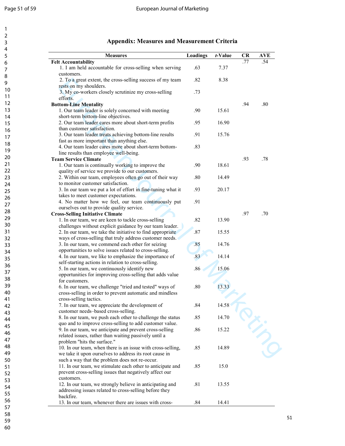| 4                     |  |  |
|-----------------------|--|--|
| 5<br>6                |  |  |
| 7                     |  |  |
| 8<br>9                |  |  |
| 10                    |  |  |
| 11                    |  |  |
| 12                    |  |  |
| 13<br>$\overline{14}$ |  |  |
| 15                    |  |  |
| 16                    |  |  |
| 17                    |  |  |
| 18<br>19              |  |  |
| 20                    |  |  |
| $\overline{21}$       |  |  |
| 22<br>23              |  |  |
| 24                    |  |  |
| 25                    |  |  |
| 26                    |  |  |
| 27<br>28              |  |  |
| 29                    |  |  |
| 30                    |  |  |
| 31<br>32              |  |  |
| 33                    |  |  |
| 34                    |  |  |
| 35                    |  |  |
| 36<br>37              |  |  |
| 38                    |  |  |
| 39                    |  |  |
| 40<br>41              |  |  |
| 42                    |  |  |
| 43                    |  |  |
| 44<br>45              |  |  |
| 46                    |  |  |
| 47                    |  |  |
| 48<br>49              |  |  |
| 50                    |  |  |
| 51                    |  |  |
| 52<br>53              |  |  |
| 54                    |  |  |
| 55                    |  |  |
| 56                    |  |  |
| 57<br>58              |  |  |
| 59                    |  |  |
| 60                    |  |  |

#### **Appendix: Measures and Measurement Criteria**

**Bottom-Line Mentality** .80<br>1. Our team leader is solely concerned with meeting .90 .15.61

**Team Service Climate** 1. Our team is continually working to improve the 1. Our team is continually working to improve the 18.61

**Cross-Selling Initiative Climate** .97 .70

**Felt Accountability**<br>1. I am held accountable for cross-selling when serving 63 1. I am held accountable for cross-selling when serving

2. To a great extent, the cross-selling success of my team

3. My co-workers closely scrutinize my cross-selling

1. Our team leader is solely concerned with meeting

2. Our team leader cares more about short-term profits

3. Our team leader treats achieving bottom-line results

4. Our team leader cares more about short-term bottom-

2. Within our team, employees often go out of their way

3. In our team we put a lot of effort in fine-tuning what it

4. No matter how we feel, our team continuously put

2. In our team, we take the initiative to find appropriate ways of cross-selling that truly address customer needs.

4. In our team, we like to emphasize the importance of self-starting actions in relation to cross-selling.

opportunities for improving cross-selling that adds value

6. In our team, we challenge "tried and tested" ways of cross-selling in order to prevent automatic and mindless

 8. In our team, we push each other to challenge the status quo and to improve cross-selling to add customer value.

 10. In our team, when there is an issue with cross-selling, we take it upon ourselves to address its root cause in such a way that the problem does not re-occur.

 11. In our team, we stimulate each other to anticipate and prevent cross-selling issues that negatively affect our

12. In our team, we strongly believe in anticipating and addressing issues related to cross-selling before they

13. In our team, whenever there are issues with cross- .84 14.41

9. In our team, we anticipate and prevent cross-selling related issues, rather than waiting passively until a

7. In our team, we appreciate the development of

customer needs–based cross-selling.

1. Our team is continually working to improve the quality of service we provide to our customers.

1. In our team, we are keen to tackle cross-selling challenges without explicit guidance by our team leader.

 3. In our team, we commend each other for seizing opportunities to solve issues related to cross-selling.

5. In our team, we continuously identify new

for customers.

customers.

backfire.

cross-selling tactics.

problem "hits the surface."

customers.

efforts.

rests on my shoulders.

short-term bottom-line objectives.

fast as more important than anything else.

line results than employee well-being.

to monitor customer satisfaction.

takes to meet customer expectations.

ourselves out to provide quality service.

than customer satisfaction.

**Measures Loadings** *t***-Value CR AVE** 

.73

.83

.91

7.37

15.61

18.61

.82 8.38

.95 16.90

.91 15.76

.80 14.49

.93 20.17

.82 13.90

.87 15.55

.85 14.76

.83 14.14

 $.86$  15.06

.80 13.33

.84 14.58

.85 14.70

.86 15.22

.85 14.89

.85 15.0

.81 13.55

2. Tota gent extent, the cross-selling success of my team<br>
2. Tota great extent, the cross-selling success of my team<br>
crosts on my shoulders,<br>
2. Now conventioned best processes of my team<br>
defined in the state of Market